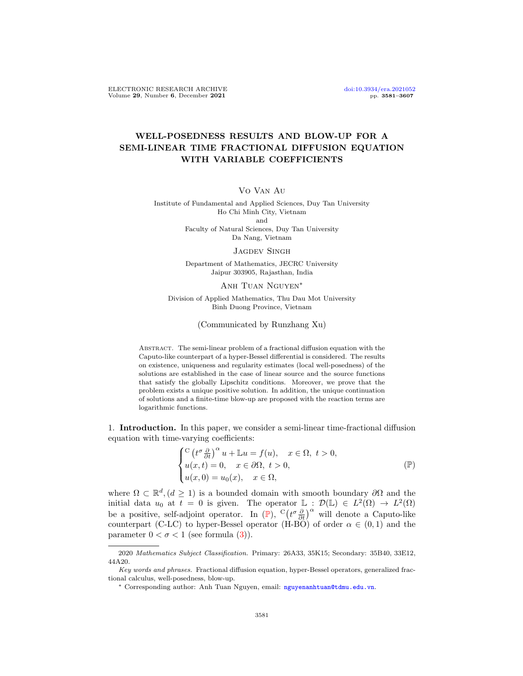# WELL-POSEDNESS RESULTS AND BLOW-UP FOR A SEMI-LINEAR TIME FRACTIONAL DIFFUSION EQUATION WITH VARIABLE COEFFICIENTS

Vo Van Au

Institute of Fundamental and Applied Sciences, Duy Tan University Ho Chi Minh City, Vietnam and Faculty of Natural Sciences, Duy Tan University

Da Nang, Vietnam

### JAGDEV SINGH

Department of Mathematics, JECRC University Jaipur 303905, Rajasthan, India

## Anh Tuan Nguyen<sup>∗</sup>

Division of Applied Mathematics, Thu Dau Mot University Binh Duong Province, Vietnam

# (Communicated by Runzhang Xu)

ABSTRACT. The semi-linear problem of a fractional diffusion equation with the Caputo-like counterpart of a hyper-Bessel differential is considered. The results on existence, uniqueness and regularity estimates (local well-posedness) of the solutions are established in the case of linear source and the source functions that satisfy the globally Lipschitz conditions. Moreover, we prove that the problem exists a unique positive solution. In addition, the unique continuation of solutions and a finite-time blow-up are proposed with the reaction terms are logarithmic functions.

1. Introduction. In this paper, we consider a semi-linear time-fractional diffusion equation with time-varying coefficients:

<span id="page-0-0"></span>
$$
\begin{cases} \nC \left( t^{\sigma} \frac{\partial}{\partial t} \right)^{\alpha} u + \mathbb{L}u = f(u), \quad x \in \Omega, \ t > 0, \\ \n u(x, t) = 0, \quad x \in \partial \Omega, \ t > 0, \\ \n u(x, 0) = u_0(x), \quad x \in \Omega, \end{cases} \tag{P}
$$

where  $\Omega \subset \mathbb{R}^d$ ,  $(d \geq 1)$  is a bounded domain with smooth boundary  $\partial\Omega$  and the initial data  $u_0$  at  $t = 0$  is given. The operator  $\mathbb{L} : \mathcal{D}(\mathbb{L}) \in L^2(\Omega) \to L^2(\Omega)$ be a positive, self-adjoint operator. In  $(\mathbb{P})$  $(\mathbb{P})$  $(\mathbb{P})$ ,  $C(t^{\sigma} \frac{\partial}{\partial t})^{\alpha}$  will denote a Caputo-like counterpart (C-LC) to hyper-Bessel operator (H-BO) of order  $\alpha \in (0,1)$  and the parameter  $0 < \sigma < 1$  (see formula [\(3\)](#page-1-0)).

<sup>2020</sup> Mathematics Subject Classification. Primary: 26A33, 35K15; Secondary: 35B40, 33E12, 44A20.

Key words and phrases. Fractional diffusion equation, hyper-Bessel operators, generalized fractional calculus, well-posedness, blow-up.

<sup>∗</sup> Corresponding author: Anh Tuan Nguyen, email: <nguyenanhtuan@tdmu.edu.vn>.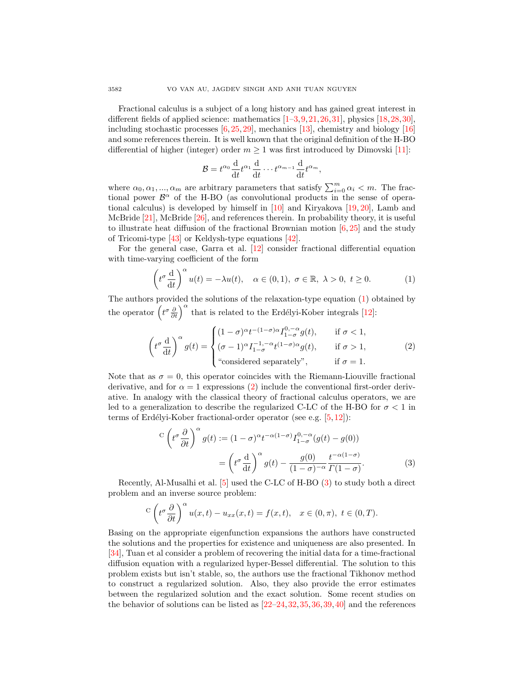Fractional calculus is a subject of a long history and has gained great interest in different fields of applied science: mathematics  $[1-3, 9, 21, 26, 31]$  $[1-3, 9, 21, 26, 31]$  $[1-3, 9, 21, 26, 31]$  $[1-3, 9, 21, 26, 31]$  $[1-3, 9, 21, 26, 31]$  $[1-3, 9, 21, 26, 31]$  $[1-3, 9, 21, 26, 31]$  $[1-3, 9, 21, 26, 31]$  $[1-3, 9, 21, 26, 31]$  $[1-3, 9, 21, 26, 31]$ , physics  $[18, 28, 30]$  $[18, 28, 30]$  $[18, 28, 30]$  $[18, 28, 30]$  $[18, 28, 30]$ , including stochastic processes  $[6,25,29]$  $[6,25,29]$  $[6,25,29]$ , mechanics [\[13\]](#page-25-7), chemistry and biology [\[16\]](#page-25-8) and some references therein. It is well known that the original definition of the H-BO differential of higher (integer) order  $m \geq 1$  was first introduced by Dimovski [\[11\]](#page-25-9):

<span id="page-1-1"></span>
$$
\mathcal{B}=t^{\alpha_0}\frac{\mathrm{d}}{\mathrm{d}t}t^{\alpha_1}\frac{\mathrm{d}}{\mathrm{d}t}\cdots t^{\alpha_{m-1}}\frac{\mathrm{d}}{\mathrm{d}t}t^{\alpha_m},
$$

where  $\alpha_0, \alpha_1, ..., \alpha_m$  are arbitrary parameters that satisfy  $\sum_{i=0}^{m} \alpha_i < m$ . The fractional power  $\mathcal{B}^{\alpha}$  of the H-BO (as convolutional products in the sense of operational calculus) is developed by himself in [\[10\]](#page-25-10) and Kiryakova [\[19,](#page-25-11) [20\]](#page-25-12), Lamb and McBride [\[21\]](#page-25-3), McBride [\[26\]](#page-26-0), and references therein. In probability theory, it is useful to illustrate heat diffusion of the fractional Brownian motion  $[6, 25]$  $[6, 25]$  $[6, 25]$  and the study of Tricomi-type [\[43\]](#page-26-5) or Keldysh-type equations [\[42\]](#page-26-6).

For the general case, Garra et al. [\[12\]](#page-25-13) consider fractional differential equation with time-varying coefficient of the form

$$
\left(t^{\sigma} \frac{\mathrm{d}}{\mathrm{d}t}\right)^{\alpha} u(t) = -\lambda u(t), \quad \alpha \in (0, 1), \ \sigma \in \mathbb{R}, \ \lambda > 0, \ t \ge 0. \tag{1}
$$

The authors provided the solutions of the relaxation-type equation [\(1\)](#page-1-1) obtained by the operator  $\left(t^{\sigma} \frac{\partial}{\partial t}\right)^{\alpha}$  that is related to the Erdélyi-Kober integrals [\[12\]](#page-25-13):

<span id="page-1-2"></span>
$$
\left(t^{\sigma} \frac{d}{dt}\right)^{\alpha} g(t) = \begin{cases} (1-\sigma)^{\alpha} t^{-(1-\sigma)\alpha} I_{1-\sigma}^{0,-\alpha} g(t), & \text{if } \sigma < 1, \\ (\sigma - 1)^{\alpha} I_{1-\sigma}^{-1,-\alpha} t^{(1-\sigma)\alpha} g(t), & \text{if } \sigma > 1, \\ \text{``considered separately",} & \text{if } \sigma = 1. \end{cases}
$$
 (2)

Note that as  $\sigma = 0$ , this operator coincides with the Riemann-Liouville fractional derivative, and for  $\alpha = 1$  expressions [\(2\)](#page-1-2) include the conventional first-order derivative. In analogy with the classical theory of fractional calculus operators, we are led to a generalization to describe the regularized C-LC of the H-BO for  $\sigma < 1$  in terms of Erdélyi-Kober fractional-order operator (see e.g.  $[5, 12]$  $[5, 12]$  $[5, 12]$ ):

<span id="page-1-0"></span>
$$
C\left(t^{\sigma}\frac{\partial}{\partial t}\right)^{\alpha}g(t) := (1-\sigma)^{\alpha}t^{-\alpha(1-\sigma)}I_{1-\sigma}^{0,-\alpha}(g(t)-g(0))
$$

$$
=\left(t^{\sigma}\frac{d}{dt}\right)^{\alpha}g(t)-\frac{g(0)}{(1-\sigma)^{-\alpha}}\frac{t^{-\alpha(1-\sigma)}}{\Gamma(1-\sigma)}.
$$
(3)

Recently, Al-Musalhi et al. [\[5\]](#page-25-14) used the C-LC of H-BO [\(3\)](#page-1-0) to study both a direct problem and an inverse source problem:

$$
C\left(t^{\sigma}\frac{\partial}{\partial t}\right)^{\alpha}u(x,t)-u_{xx}(x,t)=f(x,t), \quad x\in(0,\pi), \ t\in(0,T).
$$

Basing on the appropriate eigenfunction expansions the authors have constructed the solutions and the properties for existence and uniqueness are also presented. In [\[34\]](#page-26-7), Tuan et al consider a problem of recovering the initial data for a time-fractional diffusion equation with a regularized hyper-Bessel differential. The solution to this problem exists but isn't stable, so, the authors use the fractional Tikhonov method to construct a regularized solution. Also, they also provide the error estimates between the regularized solution and the exact solution. Some recent studies on the behavior of solutions can be listed as [\[22–](#page-25-15)[24,](#page-25-16)[32,](#page-26-8)[35,](#page-26-9)[36,](#page-26-10)[39,](#page-26-11)[40\]](#page-26-12) and the references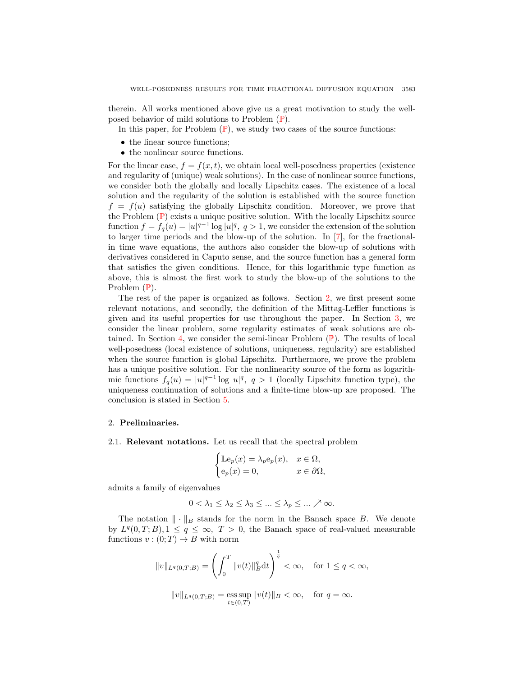therein. All works mentioned above give us a great motivation to study the wellposed behavior of mild solutions to Problem ([P](#page-0-0)).

In this paper, for [P](#page-0-0)roblem  $(\mathbb{P})$ , we study two cases of the source functions:

- the linear source functions;
- the nonlinear source functions.

For the linear case,  $f = f(x, t)$ , we obtain local well-posedness properties (existence and regularity of (unique) weak solutions). In the case of nonlinear source functions, we consider both the globally and locally Lipschitz cases. The existence of a local solution and the regularity of the solution is established with the source function  $f = f(u)$  satisfying the globally Lipschitz condition. Moreover, we prove that the [P](#page-0-0)roblem  $(\mathbb{P})$  exists a unique positive solution. With the locally Lipschitz source function  $f = f_q(u) = |u|^{q-1} \log |u|^q$ ,  $q > 1$ , we consider the extension of the solution to larger time periods and the blow-up of the solution. In [\[7\]](#page-25-17), for the fractionalin time wave equations, the authors also consider the blow-up of solutions with derivatives considered in Caputo sense, and the source function has a general form that satisfies the given conditions. Hence, for this logarithmic type function as above, this is almost the first work to study the blow-up of the solutions to the [P](#page-0-0)roblem  $(\mathbb{P})$ .

The rest of the paper is organized as follows. Section [2,](#page-2-0) we first present some relevant notations, and secondly, the definition of the Mittag-Leffler functions is given and its useful properties for use throughout the paper. In Section [3,](#page-4-0) we consider the linear problem, some regularity estimates of weak solutions are ob-tained. In Section [4,](#page-10-0) we consider the semi-linear [P](#page-0-0)roblem  $(\mathbb{P})$ . The results of local well-posedness (local existence of solutions, uniqueness, regularity) are established when the source function is global Lipschitz. Furthermore, we prove the problem has a unique positive solution. For the nonlinearity source of the form as logarithmic functions  $f_q(u) = |u|^{q-1} \log |u|^q$ ,  $q > 1$  (locally Lipschitz function type), the uniqueness continuation of solutions and a finite-time blow-up are proposed. The conclusion is stated in Section [5.](#page-24-0)

## <span id="page-2-0"></span>2. Preliminaries.

2.1. Relevant notations. Let us recall that the spectral problem

$$
\begin{cases} \mathbb{L}\mathbf{e}_p(x) = \lambda_p \mathbf{e}_p(x), & x \in \Omega, \\ \mathbf{e}_p(x) = 0, & x \in \partial\Omega, \end{cases}
$$

admits a family of eigenvalues

$$
0 < \lambda_1 \leq \lambda_2 \leq \lambda_3 \leq \ldots \leq \lambda_p \leq \ldots \nearrow \infty.
$$

The notation  $\|\cdot\|_B$  stands for the norm in the Banach space B. We denote by  $L^q(0,T;B), 1 \le q \le \infty$ ,  $T > 0$ , the Banach space of real-valued measurable functions  $v:(0;T)\to B$  with norm

$$
||v||_{L^{q}(0,T;B)} = \left(\int_{0}^{T} ||v(t)||_{B}^{q} dt\right)^{\frac{1}{q}} < \infty, \text{ for } 1 \le q < \infty,
$$
  

$$
||v||_{L^{q}(0,T;B)} = \operatorname*{ess\,sup}_{t \in (0,T)} ||v(t)||_{B} < \infty, \text{ for } q = \infty.
$$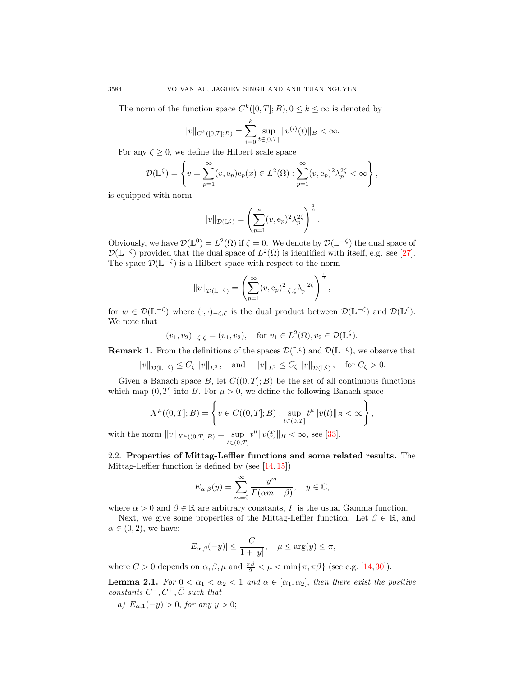The norm of the function space  $C^k([0,T];B)$ ,  $0 \le k \le \infty$  is denoted by

$$
||v||_{C^{k}([0,T];B)} = \sum_{i=0}^{k} \sup_{t \in [0,T]} ||v^{(i)}(t)||_{B} < \infty.
$$

For any  $\zeta \geq 0$ , we define the Hilbert scale space

$$
\mathcal{D}(\mathbb{L}^{\zeta}) = \left\{ v = \sum_{p=1}^{\infty} (v, e_p) e_p(x) \in L^2(\Omega) : \sum_{p=1}^{\infty} (v, e_p)^2 \lambda_p^{2\zeta} < \infty \right\},\,
$$

is equipped with norm

$$
||v||_{\mathcal{D}(\mathbb{L}^\zeta)} = \left(\sum_{p=1}^\infty (v, e_p)^2 \lambda_p^{2\zeta}\right)^{\frac{1}{2}}.
$$

Obviously, we have  $\mathcal{D}(\mathbb{L}^0) = L^2(\Omega)$  if  $\zeta = 0$ . We denote by  $\mathcal{D}(\mathbb{L}^{-\zeta})$  the dual space of  $\mathcal{D}(\mathbb{L}^{-\zeta})$  provided that the dual space of  $L^2(\Omega)$  is identified with itself, e.g. see [\[27\]](#page-26-13). The space  $\mathcal{D}(\mathbb{L}^{-\zeta})$  is a Hilbert space with respect to the norm

$$
||v||_{\mathcal{D}(\mathbb{L}^{-\zeta})} = \left(\sum_{p=1}^{\infty} (v, e_p)^2 \zeta, \zeta \lambda_p^{-2\zeta}\right)^{\frac{1}{2}},
$$

for  $w \in \mathcal{D}(\mathbb{L}^{-\zeta})$  where  $(\cdot, \cdot)_{-\zeta, \zeta}$  is the dual product between  $\mathcal{D}(\mathbb{L}^{-\zeta})$  and  $\mathcal{D}(\mathbb{L}^{\zeta})$ . We note that

$$
(v_1, v_2)_{-\zeta, \zeta} = (v_1, v_2), \text{ for } v_1 \in L^2(\Omega), v_2 \in \mathcal{D}(\mathbb{L}^{\zeta}).
$$

<span id="page-3-1"></span>**Remark 1.** From the definitions of the spaces  $\mathcal{D}(\mathbb{L}^{\zeta})$  and  $\mathcal{D}(\mathbb{L}^{-\zeta})$ , we observe that

$$
||v||_{\mathcal{D}(\mathbb{L}^{-\zeta})} \leq C_{\zeta} ||v||_{L^{2}}, \quad \text{and} \quad ||v||_{L^{2}} \leq C_{\zeta} ||v||_{\mathcal{D}(\mathbb{L}^{\zeta})}, \quad \text{for } C_{\zeta} > 0.
$$

Given a Banach space B, let  $C((0, T]; B)$  be the set of all continuous functions which map  $(0, T]$  into B. For  $\mu > 0$ , we define the following Banach space

$$
X^{\mu}((0,T];B) = \left\{ v \in C((0,T];B) : \sup_{t \in (0,T]} t^{\mu} ||v(t)||_{B} < \infty \right\},\,
$$

with the norm  $||v||_{X^{\mu}((0,T];B)} = \sup_{t \in (0,T]}$  $t^{\mu} \| v(t) \|_{B} < \infty$ , see [\[33\]](#page-26-14).

2.2. Properties of Mittag-Leffler functions and some related results. The Mittag-Leffler function is defined by (see [\[14,](#page-25-18) [15\]](#page-25-19))

$$
E_{\alpha,\beta}(y) = \sum_{m=0}^{\infty} \frac{y^m}{\Gamma(\alpha m + \beta)}, \quad y \in \mathbb{C},
$$

where  $\alpha > 0$  and  $\beta \in \mathbb{R}$  are arbitrary constants,  $\Gamma$  is the usual Gamma function.

Next, we give some properties of the Mittag-Leffler function. Let  $\beta \in \mathbb{R}$ , and  $\alpha \in (0, 2)$ , we have:

$$
|E_{\alpha,\beta}(-y)| \le \frac{C}{1+|y|}, \quad \mu \le \arg(y) \le \pi,
$$

where  $C > 0$  depends on  $\alpha, \beta, \mu$  and  $\frac{\pi \beta}{2} < \mu < \min{\pi, \pi \beta}$  (see e.g. [\[14,](#page-25-18)[30\]](#page-26-3)).

<span id="page-3-0"></span>**Lemma 2.1.** For  $0 < \alpha_1 < \alpha_2 < 1$  and  $\alpha \in [\alpha_1, \alpha_2]$ , then there exist the positive constants  $C^-, C^+, \bar{C}$  such that

a)  $E_{\alpha,1}(-y) > 0$ , for any  $y > 0$ ;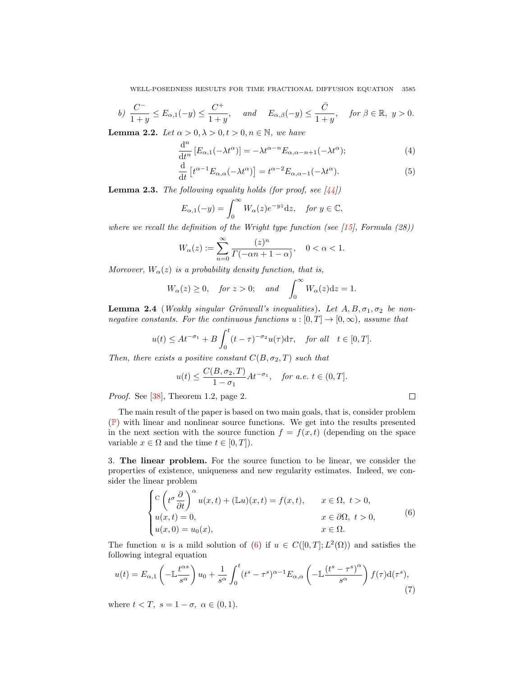WELL-POSEDNESS RESULTS FOR TIME FRACTIONAL DIFFUSION EQUATION 3585

$$
b)\ \frac{C^-}{1+y} \le E_{\alpha,1}(-y) \le \frac{C^+}{1+y}, \quad \text{and} \quad E_{\alpha,\beta}(-y) \le \frac{\bar{C}}{1+y}, \quad \text{for } \beta \in \mathbb{R}, \ y > 0.
$$

**Lemma 2.2.** Let  $\alpha > 0, \lambda > 0, t > 0, n \in \mathbb{N}$ , we have

$$
\frac{\mathrm{d}^n}{\mathrm{d}t^n} \left[ E_{\alpha,1}(-\lambda t^{\alpha}) \right] = -\lambda t^{\alpha - n} E_{\alpha,\alpha - n + 1}(-\lambda t^{\alpha});\tag{4}
$$

<span id="page-4-5"></span>
$$
\frac{\mathrm{d}}{\mathrm{d}t} \left[ t^{\alpha - 1} E_{\alpha, \alpha}(-\lambda t^{\alpha}) \right] = t^{\alpha - 2} E_{\alpha, \alpha - 1}(-\lambda t^{\alpha}). \tag{5}
$$

<span id="page-4-4"></span>**Lemma 2.3.** The following equality holds (for proof, see  $\left[\frac{4}{4}\right]$ )

$$
E_{\alpha,1}(-y) = \int_0^\infty W_\alpha(z)e^{-yz}dz, \quad \text{for } y \in \mathbb{C},
$$

where we recall the definition of the Wright type function (see  $(15)$ , Formula  $(28)$ )

$$
W_{\alpha}(z):=\sum_{n=0}^{\infty}\frac{(z)^n}{\Gamma(-\alpha n+1-\alpha)},\quad 0<\alpha<1.
$$

Moreover,  $W_{\alpha}(z)$  is a probability density function, that is,

$$
W_{\alpha}(z) \ge 0
$$
, for  $z > 0$ ; and  $\int_0^{\infty} W_{\alpha}(z)dz = 1$ .

<span id="page-4-3"></span>**Lemma 2.4** (Weakly singular Grönwall's inequalities). Let  $A, B, \sigma_1, \sigma_2$  be nonnegative constants. For the continuous functions  $u : [0, T] \rightarrow [0, \infty)$ , assume that

$$
u(t) \le At^{-\sigma_1} + B \int_0^t (t-\tau)^{-\sigma_2} u(\tau) d\tau, \quad \text{for all} \quad t \in [0, T].
$$

Then, there exists a positive constant  $C(B, \sigma_2, T)$  such that

$$
u(t) \leq \frac{C(B, \sigma_2, T)}{1 - \sigma_1} At^{-\sigma_1}
$$
, for a.e.  $t \in (0, T]$ .

<span id="page-4-2"></span><span id="page-4-1"></span> $\Box$ 

Proof. See [\[38\]](#page-26-16), Theorem 1.2, page 2.

The main result of the paper is based on two main goals, that is, consider problem ([P](#page-0-0)) with linear and nonlinear source functions. We get into the results presented in the next section with the source function  $f = f(x, t)$  (depending on the space variable  $x \in \Omega$  and the time  $t \in [0, T]$ .

<span id="page-4-0"></span>3. The linear problem. For the source function to be linear, we consider the properties of existence, uniqueness and new regularity estimates. Indeed, we consider the linear problem

$$
\begin{cases}\n\mathcal{C}\left(t^{\sigma}\frac{\partial}{\partial t}\right)^{\alpha}u(x,t)+(\mathbb{L}u)(x,t)=f(x,t), & x\in\Omega, \ t>0, \\
u(x,t)=0, & x\in\partial\Omega, \ t>0, \\
u(x,0)=u_0(x), & x\in\Omega.\n\end{cases}
$$
\n(6)

The function u is a mild solution of [\(6\)](#page-4-1) if  $u \in C([0,T]; L^2(\Omega))$  and satisfies the following integral equation

$$
u(t) = E_{\alpha,1} \left( -\mathbb{L} \frac{t^{\alpha s}}{s^{\alpha}} \right) u_0 + \frac{1}{s^{\alpha}} \int_0^t (t^s - \tau^s)^{\alpha - 1} E_{\alpha,\alpha} \left( -\mathbb{L} \frac{(t^s - \tau^s)^{\alpha}}{s^{\alpha}} \right) f(\tau) \mathrm{d}(\tau^s), \tag{7}
$$

where  $t < T$ ,  $s = 1 - \sigma$ ,  $\alpha \in (0, 1)$ .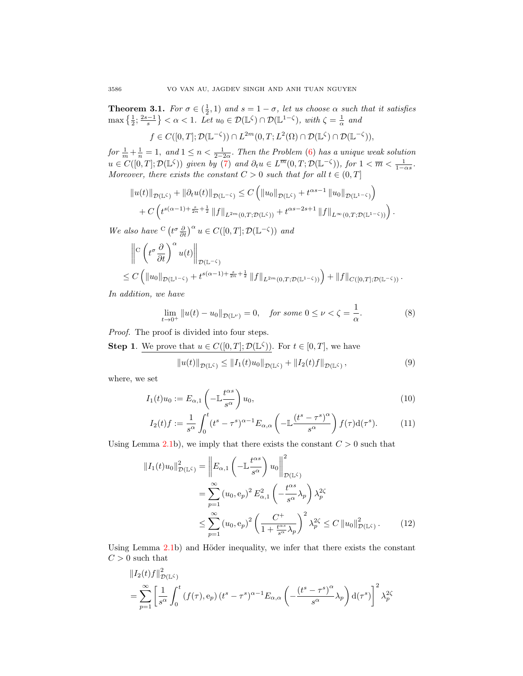<span id="page-5-5"></span>**Theorem 3.1.** For  $\sigma \in (\frac{1}{2}, 1)$  and  $s = 1 - \sigma$ , let us choose  $\alpha$  such that it satisfies  $\max\left\{\frac{1}{2};\frac{2s-1}{s}\right\} < \alpha < 1.$  Let  $u_0 \in \mathcal{D}(\mathbb{L}^{\zeta}) \cap \mathcal{D}(\mathbb{L}^{1-\zeta}),$  with  $\zeta = \frac{1}{\alpha}$  and

$$
f \in C([0,T];\mathcal{D}(\mathbb{L}^{-\zeta})) \cap L^{2m}(0,T;L^2(\Omega) \cap \mathcal{D}(\mathbb{L}^{\zeta}) \cap \mathcal{D}(\mathbb{L}^{-\zeta})),
$$

for  $\frac{1}{m} + \frac{1}{n} = 1$ , and  $1 \leq n < \frac{1}{2-2\alpha}$ . Then the Problem [\(6\)](#page-4-1) has a unique weak solution  $u \in C([0,T]; \mathcal{D}(\mathbb{L}^{\zeta}))$  given by [\(7\)](#page-4-2) and  $\partial_t u \in L^{\overline{m}}(0,T; \mathcal{D}(\mathbb{L}^{-\zeta}))$ , for  $1 < \overline{m} < \frac{1}{1-\alpha s}$ . Moreover, there exists the constant  $C > 0$  such that for all  $t \in (0, T]$ 

$$
||u(t)||_{\mathcal{D}(\mathbb{L}^{\zeta})} + ||\partial_t u(t)||_{\mathcal{D}(\mathbb{L}^{-\zeta})} \leq C \left( ||u_0||_{\mathcal{D}(\mathbb{L}^{\zeta})} + t^{\alpha s - 1} ||u_0||_{\mathcal{D}(\mathbb{L}^{1-\zeta})} \right) + C \left( t^{s(\alpha - 1) + \frac{s}{2n} + \frac{1}{2}} ||f||_{L^{2m}(0,T;\mathcal{D}(\mathbb{L}^{\zeta}))} + t^{\alpha s - 2s + 1} ||f||_{L^{\infty}(0,T;\mathcal{D}(\mathbb{L}^{1-\zeta}))} \right).
$$

We also have  $C\left(t^{\sigma}\frac{\partial}{\partial t}\right)^{\alpha}u \in C([0,T];\mathcal{D}(\mathbb{L}^{-\zeta}))$  and

$$
\left\|C\left(t^{\sigma}\frac{\partial}{\partial t}\right)^{\alpha}u(t)\right\|_{\mathcal{D}(\mathbb{L}^{-\zeta})}\n\leq C\left(\left\|u_{0}\right\|_{\mathcal{D}(\mathbb{L}^{-\zeta})}+t^{s(\alpha-1)+\frac{s}{2n}+\frac{1}{2}}\left\|f\right\|_{L^{2m}(0,T;\mathcal{D}(\mathbb{L}^{1-\zeta}))}\right)+\left\|f\right\|_{C([0,T];\mathcal{D}(\mathbb{L}^{-\zeta}))}.
$$

In addition, we have

$$
\lim_{t \to 0^+} \|u(t) - u_0\|_{\mathcal{D}(\mathbb{L}^{\nu})} = 0, \quad \text{for some } 0 \le \nu < \zeta = \frac{1}{\alpha}.\tag{8}
$$

Proof. The proof is divided into four steps.

**Step 1.** We prove that  $u \in C([0,T]; \mathcal{D}(\mathbb{L}^{\zeta}))$ . For  $t \in [0,T]$ , we have

<span id="page-5-4"></span><span id="page-5-3"></span><span id="page-5-2"></span><span id="page-5-0"></span>
$$
||u(t)||_{\mathcal{D}(\mathbb{L}^{\zeta})} \leq ||I_1(t)u_0||_{\mathcal{D}(\mathbb{L}^{\zeta})} + ||I_2(t)f||_{\mathcal{D}(\mathbb{L}^{\zeta})},
$$
\n(9)

where, we set

$$
I_1(t)u_0 := E_{\alpha,1}\left(-\mathbb{L}\frac{t^{\alpha s}}{s^{\alpha}}\right)u_0,\tag{10}
$$

$$
I_2(t)f := \frac{1}{s^{\alpha}} \int_0^t (t^s - \tau^s)^{\alpha - 1} E_{\alpha,\alpha} \left( -\mathbb{L} \frac{(t^s - \tau^s)^{\alpha}}{s^{\alpha}} \right) f(\tau) \mathrm{d}(\tau^s). \tag{11}
$$

Using Lemma [2.1b](#page-3-0)), we imply that there exists the constant  $C > 0$  such that

<span id="page-5-1"></span>
$$
||I_1(t)u_0||_{\mathcal{D}(\mathbb{L}^{\zeta})}^2 = \left||E_{\alpha,1}\left(-\mathbb{L}\frac{t^{\alpha s}}{s^{\alpha}}\right)u_0\right||_{\mathcal{D}(\mathbb{L}^{\zeta})}^2
$$
  
\n
$$
= \sum_{p=1}^{\infty} (u_0, e_p)^2 E_{\alpha,1}^2 \left(-\frac{t^{\alpha s}}{s^{\alpha}}\lambda_p\right) \lambda_p^{2\zeta}
$$
  
\n
$$
\leq \sum_{p=1}^{\infty} (u_0, e_p)^2 \left(\frac{C^+}{1 + \frac{t^{\alpha s}}{s^{\alpha}}\lambda_p}\right)^2 \lambda_p^{2\zeta} \leq C ||u_0||_{\mathcal{D}(\mathbb{L}^{\zeta})}^2. \tag{12}
$$

Using Lemma  $2.1b$ ) and Höder inequality, we infer that there exists the constant  $C>0$  such that

$$
\begin{split} &\|I_2(t)f\|_{\mathcal{D}(\mathbb{L}\zeta)}^2\\ &=\sum_{p=1}^\infty\left[\frac{1}{s^\alpha}\int_0^t\left(f(\tau),\mathrm{e}_p\right)(t^s-\tau^s)^{\alpha-1}E_{\alpha,\alpha}\left(-\frac{\left(t^s-\tau^s\right)^\alpha}{s^\alpha}\lambda_p\right)\mathrm{d}(\tau^s)\right]^2\lambda_p^{2\zeta} \end{split}
$$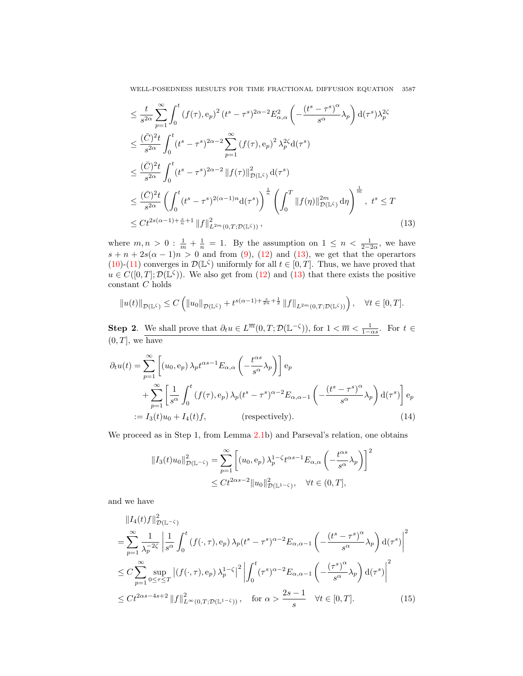WELL-POSEDNESS RESULTS FOR TIME FRACTIONAL DIFFUSION EQUATION 3587

$$
\leq \frac{t}{s^{2\alpha}} \sum_{p=1}^{\infty} \int_{0}^{t} (f(\tau), e_p)^2 (t^s - \tau^s)^{2\alpha - 2} E_{\alpha, \alpha}^2 \left( -\frac{(t^s - \tau^s)^{\alpha}}{s^{\alpha}} \lambda_p \right) d(\tau^s) \lambda_p^{2\zeta}
$$
\n
$$
\leq \frac{(\bar{C})^2 t}{s^{2\alpha}} \int_{0}^{t} (t^s - \tau^s)^{2\alpha - 2} \sum_{p=1}^{\infty} (f(\tau), e_p)^2 \lambda_p^{2\zeta} d(\tau^s)
$$
\n
$$
\leq \frac{(\bar{C})^2 t}{s^{2\alpha}} \int_{0}^{t} (t^s - \tau^s)^{2\alpha - 2} ||f(\tau)||_{\mathcal{D}(\mathbb{L}^{\zeta})}^2 d(\tau^s)
$$
\n
$$
\leq \frac{(\bar{C})^2 t}{s^{2\alpha}} \left( \int_{0}^{t} (t^s - \tau^s)^{2(\alpha - 1)n} d(\tau^s) \right)^{\frac{1}{n}} \left( \int_{0}^{T} ||f(\eta)||_{\mathcal{D}(\mathbb{L}^{\zeta})}^{2m} d\eta \right)^{\frac{1}{m}}, \ t^s \leq T
$$
\n
$$
\leq Ct^{2s(\alpha - 1) + \frac{s}{n} + 1} ||f||_{L^{2m}(0, T; \mathcal{D}(\mathbb{L}^{\zeta}))}^{2m}, \tag{13}
$$

where  $m, n > 0$ :  $\frac{1}{m} + \frac{1}{n} = 1$ . By the assumption on  $1 \leq n < \frac{1}{2-2\alpha}$ , we have  $s + n + 2s(\alpha - 1)n > 0$  and from [\(9\)](#page-5-0), [\(12\)](#page-5-1) and [\(13\)](#page-6-0), we get that the operartors [\(10\)](#page-5-2)-[\(11\)](#page-5-3) converges in  $\mathcal{D}(\mathbb{L}^{\zeta})$  uniformly for all  $t \in [0,T]$ . Thus, we have proved that  $u \in C([0,T]; \mathcal{D}(\mathbb{L}^{\zeta}))$ . We also get from [\(12\)](#page-5-1) and [\(13\)](#page-6-0) that there exists the positive constant  ${\cal C}$  holds

<span id="page-6-0"></span>
$$
||u(t)||_{\mathcal{D}(\mathbb{L}^{\zeta})} \leq C \left( ||u_0||_{\mathcal{D}(\mathbb{L}^{\zeta})} + t^{s(\alpha-1) + \frac{s}{2n} + \frac{1}{2}} ||f||_{L^{2m}(0,T;\mathcal{D}(\mathbb{L}^{\zeta}))} \right), \quad \forall t \in [0,T].
$$

**Step 2**. We shall prove that  $\partial_t u \in L^{\overline{m}}(0,T;\mathcal{D}(\mathbb{L}^{-\zeta}))$ , for  $1 < \overline{m} < \frac{1}{1-\alpha s}$ . For  $t \in$  $(0, T]$ , we have

$$
\partial_t u(t) = \sum_{p=1}^{\infty} \left[ (u_0, e_p) \lambda_p t^{\alpha s - 1} E_{\alpha, \alpha} \left( -\frac{t^{\alpha s}}{s^{\alpha}} \lambda_p \right) \right] e_p
$$
  
+ 
$$
\sum_{p=1}^{\infty} \left[ \frac{1}{s^{\alpha}} \int_0^t (f(\tau), e_p) \lambda_p (t^s - \tau^s)^{\alpha - 2} E_{\alpha, \alpha - 1} \left( -\frac{(t^s - \tau^s)^{\alpha}}{s^{\alpha}} \lambda_p \right) d(\tau^s) \right] e_p
$$
  
:=  $I_3(t) u_0 + I_4(t) f$ , (respectively). (14)

We proceed as in Step 1, from Lemma [2.1b](#page-3-0)) and Parseval's relation, one obtains

<span id="page-6-2"></span><span id="page-6-1"></span>
$$
||I_3(t)u_0||_{\mathcal{D}(\mathbb{L}^{-\zeta})}^2 = \sum_{p=1}^{\infty} \left[ (u_0, e_p) \lambda_p^{1-\zeta} t^{\alpha s-1} E_{\alpha,\alpha} \left( -\frac{t^{\alpha s}}{s^{\alpha}} \lambda_p \right) \right]^2
$$
  

$$
\leq Ct^{2\alpha s-2} ||u_0||_{\mathcal{D}(\mathbb{L}^{1-\zeta})}^2, \quad \forall t \in (0, T],
$$

and we have

$$
\|I_4(t)f\|_{\mathcal{D}(\mathbb{L}^{-\zeta})}^2
$$
\n
$$
= \sum_{p=1}^{\infty} \frac{1}{\lambda_p^{-2\zeta}} \left| \frac{1}{s^{\alpha}} \int_0^t (f(\cdot,\tau), e_p) \lambda_p(t^s - \tau^s)^{\alpha-2} E_{\alpha,\alpha-1} \left( -\frac{(t^s - \tau^s)^{\alpha}}{s^{\alpha}} \lambda_p \right) d(\tau^s) \right|^2
$$
\n
$$
\leq C \sum_{p=1}^{\infty} \sup_{0 \leq \tau \leq T} \left| (f(\cdot,\tau), e_p) \lambda_p^{1-\zeta} \right|^2 \left| \int_0^t (\tau^s)^{\alpha-2} E_{\alpha,\alpha-1} \left( -\frac{(\tau^s)^{\alpha}}{s^{\alpha}} \lambda_p \right) d(\tau^s) \right|^2
$$
\n
$$
\leq Ct^{2\alpha s - 4s + 2} \|f\|_{L^{\infty}(0,T; \mathcal{D}(\mathbb{L}^{1-\zeta}))}^2, \quad \text{for } \alpha > \frac{2s - 1}{s} \quad \forall t \in [0,T]. \tag{15}
$$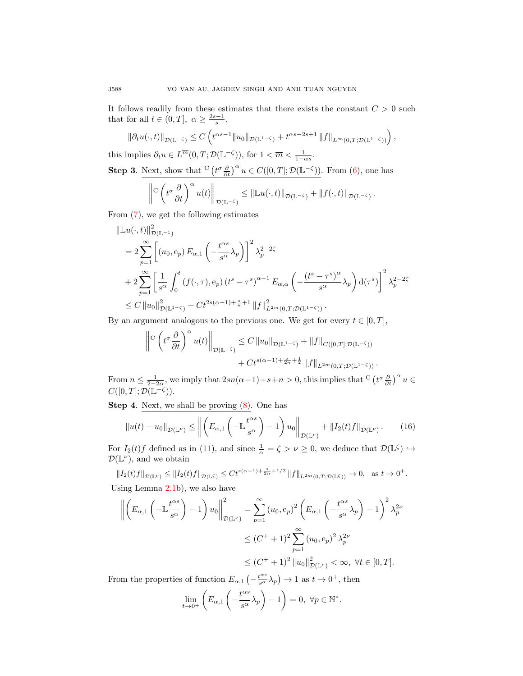It follows readily from these estimates that there exists the constant  $C > 0$  such that for all  $t \in (0, T]$ ,  $\alpha \ge \frac{2s-1}{s}$ ,

$$
\left\|\partial_t u(\cdot,t)\right\|_{\mathcal{D}(\mathbb{L}^{-\zeta})} \leq C\left(t^{\alpha s-1} \|u_0\|_{\mathcal{D}(\mathbb{L}^{1-\zeta})}+t^{\alpha s-2s+1}\left\|f\right\|_{L^\infty(0,T;\mathcal{D}(\mathbb{L}^{1-\zeta}))}\right),
$$

this implies  $\partial_t u \in L^{\overline{m}}(0,T;\mathcal{D}(\mathbb{L}^{-\zeta}))$ , for  $1 < \overline{m} < \frac{1}{1-\alpha s}$ . **Step 3**. Next, show that  $C\left(t^{\sigma}\frac{\partial}{\partial t}\right)^{\alpha}u \in C([0,T]; \mathcal{D}(\mathbb{L}^{-\zeta}))$ . From  $(6)$ , one has

$$
\left\|\mathcal{C}\left(t^{\sigma}\frac{\partial}{\partial t}\right)^{\alpha}u(t)\right\|_{\mathcal{D}(\mathbb{L}^{-\zeta})}\leq \left\|\mathbb{L} u(\cdot,t)\right\|_{\mathcal{D}(\mathbb{L}^{-\zeta})}+\left\|f(\cdot,t)\right\|_{\mathcal{D}(\mathbb{L}^{-\zeta})}.
$$

From [\(7\)](#page-4-2), we get the following estimates

$$
\|\mathbb{L}u(\cdot,t)\|_{\mathcal{D}(\mathbb{L}^{-\zeta})}^{2}
$$
\n
$$
= 2 \sum_{p=1}^{\infty} \left[ (u_0, e_p) E_{\alpha,1} \left( -\frac{t^{\alpha s}}{s^{\alpha}} \lambda_p \right) \right]^2 \lambda_p^{2-2\zeta}
$$
\n
$$
+ 2 \sum_{p=1}^{\infty} \left[ \frac{1}{s^{\alpha}} \int_0^t (f(\cdot,\tau), e_p) (t^s - \tau^s)^{\alpha-1} E_{\alpha,\alpha} \left( -\frac{(t^s - \tau^s)^{\alpha}}{s^{\alpha}} \lambda_p \right) d(\tau^s) \right]^2 \lambda_p^{2-2\zeta}
$$
\n
$$
\leq C \left\| u_0 \right\|_{\mathcal{D}(\mathbb{L}^{1-\zeta})}^{2} + Ct^{2s(\alpha-1)+\frac{s}{n}+1} \left\| f \right\|_{L^{2m}(0,T;\mathcal{D}(\mathbb{L}^{1-\zeta}))}^{2}.
$$

By an argument analogous to the previous one. We get for every  $t \in [0, T]$ ,

<span id="page-7-0"></span>
$$
\left\|C\left(t^{\sigma}\frac{\partial}{\partial t}\right)^{\alpha}u(t)\right\|_{\mathcal{D}(\mathbb{L}^{-\zeta})}\leq C\left\|u_{0}\right\|_{\mathcal{D}(\mathbb{L}^{1-\zeta})}+\left\|f\right\|_{C([0,T];\mathcal{D}(\mathbb{L}^{-\zeta}))} +C t^{s(\alpha-1)+\frac{s}{2n}+\frac{1}{2}}\left\|f\right\|_{L^{2m}(0,T;\mathcal{D}(\mathbb{L}^{1-\zeta}))}.
$$

From  $n \leq \frac{1}{2-2\alpha}$ , we imply that  $2sn(\alpha-1)+s+n > 0$ , this implies that  $C\left(t^{\sigma}\frac{\partial}{\partial t}\right)^{\alpha}u \in$  $C([0,T];\mathcal{D}(\mathbb{L}^{-\zeta})).$ 

Step 4. Next, we shall be proving [\(8\)](#page-5-4). One has

$$
\|u(t) - u_0\|_{\mathcal{D}(\mathbb{L}^{\nu})} \le \left\| \left( E_{\alpha,1} \left( -\mathbb{L} \frac{t^{\alpha s}}{s^{\alpha}} \right) - 1 \right) u_0 \right\|_{\mathcal{D}(\mathbb{L}^{\nu})} + \| I_2(t)f \|_{\mathcal{D}(\mathbb{L}^{\nu})}.
$$
 (16)

For  $I_2(t)f$  defined as in [\(11\)](#page-5-3), and since  $\frac{1}{\alpha} = \zeta > \nu \geq 0$ , we deduce that  $\mathcal{D}(\mathbb{L}^{\zeta}) \hookrightarrow$  $\mathcal{D}(\mathbb{L}^{\nu})$ , and we obtain

$$
||I_2(t)f||_{\mathcal{D}(\mathbb{L}^{\nu})} \le ||I_2(t)f||_{\mathcal{D}(\mathbb{L}^{\zeta})} \le Ct^{s(\alpha-1)+\frac{s}{2n}+1/2}||f||_{L^{2m}(0,T;\mathcal{D}(\mathbb{L}^{\zeta}))} \to 0, \text{ as } t \to 0^+.
$$

Using Lemma [2.1b](#page-3-0)), we also have

$$
\left\| \left( E_{\alpha,1} \left( -\mathbb{L} \frac{t^{\alpha s}}{s^{\alpha}} \right) - 1 \right) u_0 \right\|_{\mathcal{D}(\mathbb{L}^{\nu})}^2 = \sum_{p=1}^{\infty} (u_0, e_p)^2 \left( E_{\alpha,1} \left( -\frac{t^{\alpha s}}{s^{\alpha}} \lambda_p \right) - 1 \right)^2 \lambda_p^{2\nu}
$$
  

$$
\leq (C^+ + 1)^2 \sum_{p=1}^{\infty} (u_0, e_p)^2 \lambda_p^{2\nu}
$$
  

$$
\leq (C^+ + 1)^2 \left\| u_0 \right\|_{\mathcal{D}(\mathbb{L}^{\nu})}^2 < \infty, \ \forall t \in [0, T].
$$

From the properties of function  $E_{\alpha,1} \left( -\frac{t^{\alpha s}}{s^{\alpha}} \lambda_p \right) \to 1$  as  $t \to 0^+$ , then

$$
\lim_{t \to 0^+} \left( E_{\alpha,1} \left( -\frac{t^{\alpha s}}{s^{\alpha}} \lambda_p \right) - 1 \right) = 0, \ \forall p \in \mathbb{N}^*.
$$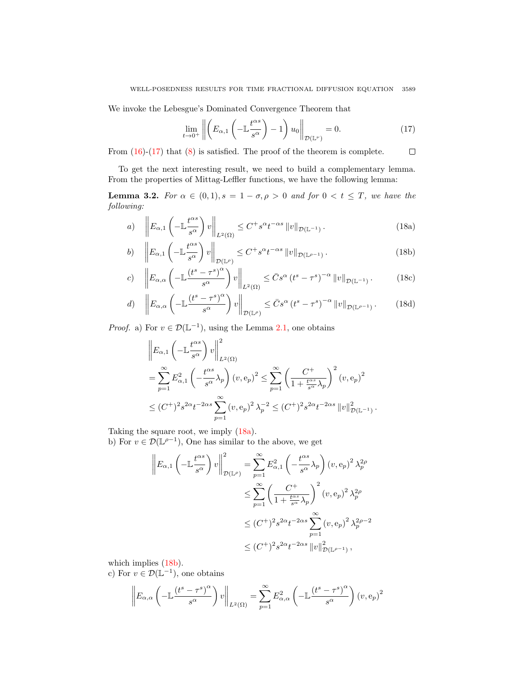We invoke the Lebesgue's Dominated Convergence Theorem that

<span id="page-8-2"></span><span id="page-8-1"></span><span id="page-8-0"></span>
$$
\lim_{t \to 0^+} \left\| \left( E_{\alpha,1} \left( -\mathbb{L} \frac{t^{\alpha s}}{s^{\alpha}} \right) - 1 \right) u_0 \right\|_{\mathcal{D}(\mathbb{L}^{\nu})} = 0. \tag{17}
$$

From  $(16)-(17)$  $(16)-(17)$  $(16)-(17)$  that  $(8)$  is satisfied. The proof of the theorem is complete.  $\Box$ 

To get the next interesting result, we need to build a complementary lemma. From the properties of Mittag-Leffler functions, we have the following lemma:

<span id="page-8-5"></span>**Lemma 3.2.** For  $\alpha \in (0,1), s = 1 - \sigma, \rho > 0$  and for  $0 < t \leq T$ , we have the following:

a) 
$$
\left\| E_{\alpha,1} \left( - \mathbb{L} \frac{t^{\alpha s}}{s^{\alpha}} \right) v \right\|_{L^{2}(\Omega)} \leq C^{+} s^{\alpha} t^{-\alpha s} \left\| v \right\|_{\mathcal{D}(\mathbb{L}^{-1})}. \tag{18a}
$$

$$
b) \quad \left\| E_{\alpha,1} \left( -\mathbb{L} \frac{t^{\alpha s}}{s^{\alpha}} \right) v \right\|_{\mathcal{D}(\mathbb{L}^{\rho})} \leq C^{+} s^{\alpha} t^{-\alpha s} \left\| v \right\|_{\mathcal{D}(\mathbb{L}^{\rho-1})}.
$$
\n(18b)

$$
c) \quad \left\| E_{\alpha,\alpha} \left( -\mathbb{L} \frac{\left( t^s - \tau^s \right)^{\alpha}}{s^{\alpha}} \right) v \right\|_{L^2(\Omega)} \leq \bar{C} s^{\alpha} \left( t^s - \tau^s \right)^{-\alpha} \|v\|_{\mathcal{D}(\mathbb{L}^{-1})}. \tag{18c}
$$

$$
d) \quad \left\| E_{\alpha,\alpha} \left( - \mathbb{L} \frac{\left( t^s - \tau^s \right)^{\alpha}}{s^{\alpha}} \right) v \right\|_{\mathcal{D}(\mathbb{L}^{\rho})} \leq \bar{C} s^{\alpha} \left( t^s - \tau^s \right)^{-\alpha} \left\| v \right\|_{\mathcal{D}(\mathbb{L}^{\rho-1})}. \tag{18d}
$$

*Proof.* a) For  $v \in \mathcal{D}(\mathbb{L}^{-1})$ , using the Lemma [2.1,](#page-3-0) one obtains

<span id="page-8-4"></span><span id="page-8-3"></span>
$$
\|E_{\alpha,1}\left(-\mathbb{L}\frac{t^{\alpha s}}{s^{\alpha}}\right)v\|_{L^{2}(\Omega)}^{2}
$$
\n
$$
=\sum_{p=1}^{\infty}E_{\alpha,1}^{2}\left(-\frac{t^{\alpha s}}{s^{\alpha}}\lambda_{p}\right)(v,e_{p})^{2} \leq \sum_{p=1}^{\infty}\left(\frac{C^{+}}{1+\frac{t^{\alpha s}}{s^{\alpha}}\lambda_{p}}\right)^{2}(v,e_{p})^{2}
$$
\n
$$
\leq (C^{+})^{2}s^{2\alpha}t^{-2\alpha s}\sum_{p=1}^{\infty}(v,e_{p})^{2}\lambda_{p}^{-2} \leq (C^{+})^{2}s^{2\alpha}t^{-2\alpha s}\|v\|_{\mathcal{D}(\mathbb{L}^{-1})}^{2}.
$$

Taking the square root, we imply [\(18a\)](#page-8-1).

b) For  $v \in \mathcal{D}(\mathbb{L}^{p-1})$ , One has similar to the above, we get

$$
\left\| E_{\alpha,1} \left( -\mathbb{L} \frac{t^{\alpha s}}{s^{\alpha}} \right) v \right\|_{\mathcal{D}(\mathbb{L}^{\rho})}^2 = \sum_{p=1}^{\infty} E_{\alpha,1}^2 \left( -\frac{t^{\alpha s}}{s^{\alpha}} \lambda_p \right) (v, e_p)^2 \lambda_p^{2\rho}
$$
  

$$
\leq \sum_{p=1}^{\infty} \left( \frac{C^+}{1 + \frac{t^{\alpha s}}{s^{\alpha}} \lambda_p} \right)^2 (v, e_p)^2 \lambda_p^{2\rho}
$$
  

$$
\leq (C^+)^2 s^{2\alpha} t^{-2\alpha s} \sum_{p=1}^{\infty} (v, e_p)^2 \lambda_p^{2\rho - 2}
$$
  

$$
\leq (C^+)^2 s^{2\alpha} t^{-2\alpha s} \|v\|_{\mathcal{D}(\mathbb{L}^{\rho - 1)}}^2,
$$

which implies  $(18b)$ .

c) For  $v \in \mathcal{D}(\mathbb{L}^{-1})$ , one obtains

$$
\left\| E_{\alpha,\alpha} \left( - \mathbb{L} \frac{\left( t^s - \tau^s \right)^{\alpha}}{s^{\alpha}} \right) v \right\|_{L^2(\Omega)} = \sum_{p=1}^{\infty} E_{\alpha,\alpha}^2 \left( - \mathbb{L} \frac{\left( t^s - \tau^s \right)^{\alpha}}{s^{\alpha}} \right) \left( v, \mathbf{e}_p \right)^2
$$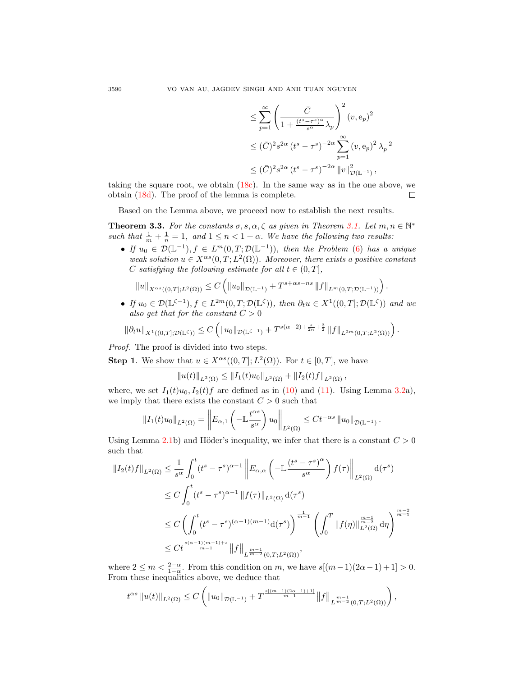$$
\leq \sum_{p=1}^{\infty} \left( \frac{\bar{C}}{1 + \frac{(t^s - \tau^s)^{\alpha}}{s^{\alpha}} \lambda_p} \right)^2 (v, e_p)^2
$$
  

$$
\leq (\bar{C})^2 s^{2\alpha} (t^s - \tau^s)^{-2\alpha} \sum_{p=1}^{\infty} (v, e_p)^2 \lambda_p^{-2}
$$
  

$$
\leq (\bar{C})^2 s^{2\alpha} (t^s - \tau^s)^{-2\alpha} ||v||_{\mathcal{D}(\mathbb{L}^{-1})}^2,
$$

taking the square root, we obtain  $(18c)$ . In the same way as in the one above, we obtain [\(18d\)](#page-8-4). The proof of the lemma is complete.  $\Box$ 

Based on the Lemma above, we proceed now to establish the next results.

**Theorem 3.3.** For the constants  $\sigma$ ,  $s$ ,  $\alpha$ ,  $\zeta$  as given in Theorem [3.1.](#page-5-5) Let  $m, n \in \mathbb{N}^*$ such that  $\frac{1}{m} + \frac{1}{n} = 1$ , and  $1 \leq n < 1 + \alpha$ . We have the following two results:

• If  $u_0 \in \mathcal{D}(\mathbb{L}^{-1}), f \in L^m(0,T;\mathcal{D}(\mathbb{L}^{-1}))$ , then the Problem [\(6\)](#page-4-1) has a unique weak solution  $u \in X^{\alpha s}(0,T;L^2(\Omega))$ . Moreover, there exists a positive constant C satisfying the following estimate for all  $t \in (0, T]$ ,

$$
||u||_{X^{\alpha s}((0,T];L^2(\Omega))} \leq C \left( ||u_0||_{\mathcal{D}(\mathbb{L}^{-1})} + T^{s+\alpha s-ns} ||f||_{L^m(0,T;\mathcal{D}(\mathbb{L}^{-1}))} \right).
$$

• If  $u_0 \in \mathcal{D}(\mathbb{L}^{\zeta-1}), f \in L^{2m}(0,T;\mathcal{D}(\mathbb{L}^{\zeta})),$  then  $\partial_t u \in X^1((0,T];\mathcal{D}(\mathbb{L}^{\zeta}))$  and we also get that for the constant  $C > 0$ 

$$
\|\partial_t u\|_{X^1((0,T];\mathcal{D}(\mathbb{L}^{\zeta}))} \leq C \left( \|u_0\|_{\mathcal{D}(\mathbb{L}^{\zeta-1})} + T^{s(\alpha-2)+\frac{s}{2n}+\frac{3}{2}} \|f\|_{L^{2m}(0,T;L^2(\Omega))} \right).
$$

Proof. The proof is divided into two steps.

**Step 1.** We show that  $u \in X^{\alpha s}((0,T]; L^2(\Omega))$ . For  $t \in [0,T]$ , we have

$$
||u(t)||_{L^2(\Omega)} \leq ||I_1(t)u_0||_{L^2(\Omega)} + ||I_2(t)f||_{L^2(\Omega)},
$$

where, we set  $I_1(t)u_0, I_2(t)f$  are defined as in [\(10\)](#page-5-2) and [\(11\)](#page-5-3). Using Lemma [3.2a](#page-8-5)), we imply that there exists the constant  $C > 0$  such that

$$
||I_1(t)u_0||_{L^2(\Omega)} = \left||E_{\alpha,1}\left(-\mathbb{L}\frac{t^{\alpha s}}{s^{\alpha}}\right)u_0\right||_{L^2(\Omega)} \leq Ct^{-\alpha s} ||u_0||_{\mathcal{D}(\mathbb{L}^{-1})}.
$$

Using Lemma [2.1b](#page-3-0)) and Höder's inequality, we infer that there is a constant  $C > 0$ such that

$$
\begin{split} \|I_{2}(t)f\|_{L^{2}(\Omega)} &\leq \frac{1}{s^{\alpha}}\int_{0}^{t}(t^{s}-\tau^{s})^{\alpha-1}\left\|E_{\alpha,\alpha}\left(-\mathbb{L}\frac{(t^{s}-\tau^{s})^{\alpha}}{s^{\alpha}}\right)f(\tau)\right\|_{L^{2}(\Omega)}\mathrm{d}(\tau^{s}) \\ &\leq C\int_{0}^{t}(t^{s}-\tau^{s})^{\alpha-1}\left\|f(\tau)\right\|_{L^{2}(\Omega)}\mathrm{d}(\tau^{s}) \\ &\leq C\left(\int_{0}^{t}(t^{s}-\tau^{s})^{(\alpha-1)(m-1)}\mathrm{d}(\tau^{s})\right)^{\frac{1}{m-1}}\left(\int_{0}^{T}\|f(\eta)\|_{L^{2}(\Omega)}^{\frac{m-1}{m-2}}\mathrm{d}\eta\right)^{\frac{m-2}{m-1}} \\ &\leq Ct^{\frac{s(\alpha-1)(m-1)+s}{m-1}}\left\|f\right\|_{L^{\frac{m-1}{m-2}}(0,T;L^{2}(\Omega))}, \end{split}
$$

where  $2 \leq m < \frac{2-\alpha}{1-\alpha}$ . From this condition on m, we have  $s[(m-1)(2\alpha-1)+1] > 0$ . From these inequalities above, we deduce that

$$
t^{\alpha s} ||u(t)||_{L^{2}(\Omega)} \leq C \left( ||u_0||_{\mathcal{D}(\mathbb{L}^{-1})} + T^{\frac{s[(m-1)(2\alpha-1)+1]}{m-1}} ||f||_{L^{\frac{m-1}{m-2}}(0,T;L^2(\Omega))} \right),
$$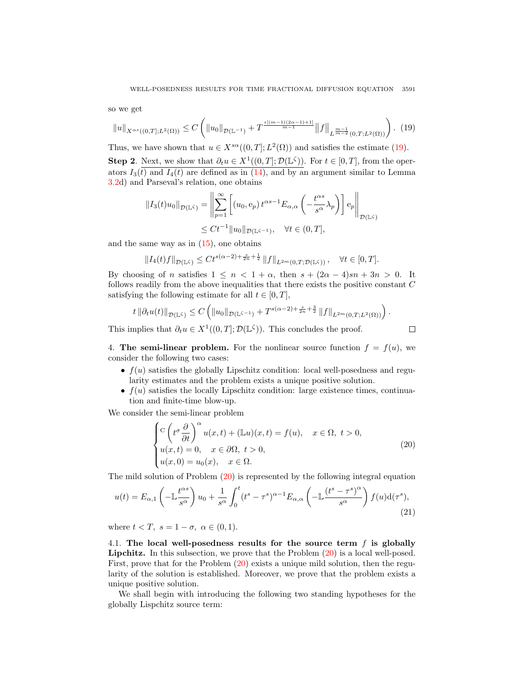so we get

$$
||u||_{X^{\alpha s}((0,T];L^2(\Omega))} \leq C \left( ||u_0||_{\mathcal{D}(\mathbb{L}^{-1})} + T^{\frac{s[(m-1)(2\alpha-1)+1]}{m-1}} ||f||_{L^{\frac{m-1}{m-2}}(0,T;L^2(\Omega))} \right). (19)
$$

Thus, we have shown that  $u \in X^{s\alpha}((0,T];L^2(\Omega))$  and satisfies the estimate [\(19\)](#page-10-1). **Step 2.** Next, we show that  $\partial_t u \in X^1((0,T]; \mathcal{D}(\mathbb{L}^{\zeta}))$ . For  $t \in [0,T]$ , from the operators  $I_3(t)$  and  $I_4(t)$  are defined as in [\(14\)](#page-6-1), and by an argument similar to Lemma [3.2d](#page-8-5)) and Parseval's relation, one obtains

$$
||I_3(t)u_0||_{\mathcal{D}(\mathbb{L}^\zeta)} = \left\| \sum_{p=1}^\infty \left[ (u_0, e_p) t^{\alpha s - 1} E_{\alpha,\alpha} \left( -\frac{t^{\alpha s}}{s^{\alpha}} \lambda_p \right) \right] e_p \right\|_{\mathcal{D}(\mathbb{L}^\zeta)}
$$
  

$$
\leq Ct^{-1} ||u_0||_{\mathcal{D}(\mathbb{L}^{\zeta - 1})}, \quad \forall t \in (0, T],
$$

and the same way as in  $(15)$ , one obtains

$$
||I_4(t)f||_{\mathcal{D}(\mathbb{L}^\zeta)} \leq C t^{s(\alpha-2) + \frac{s}{2n} + \frac{1}{2}} ||f||_{L^{2m}(0,T;\mathcal{D}(\mathbb{L}^\zeta))}, \quad \forall t \in [0,T].
$$

By choosing of n satisfies  $1 \leq n < 1 + \alpha$ , then  $s + (2\alpha - 4)sn + 3n > 0$ . It follows readily from the above inequalities that there exists the positive constant C satisfying the following estimate for all  $t \in [0, T]$ ,

$$
t \left\|\partial_t u(t)\right\|_{\mathcal{D}(\mathbb{L}^\zeta)} \leq C \left( \|u_0\|_{\mathcal{D}(\mathbb{L}^{\zeta-1})} + T^{s(\alpha-2)+\frac{s}{2n}+\frac{3}{2}} \left\|f\right\|_{L^{2m}(0,T;L^2(\Omega))} \right)
$$

This implies that  $\partial_t u \in X^1((0,T]; \mathcal{D}(\mathbb{L}^\zeta))$ . This concludes the proof.

<span id="page-10-3"></span><span id="page-10-2"></span> $\Box$ 

<span id="page-10-1"></span>.

<span id="page-10-0"></span>4. The semi-linear problem. For the nonlinear source function  $f = f(u)$ , we consider the following two cases:

- $f(u)$  satisfies the globally Lipschitz condition: local well-posedness and regularity estimates and the problem exists a unique positive solution.
- $f(u)$  satisfies the locally Lipschitz condition: large existence times, continuation and finite-time blow-up.

We consider the semi-linear problem

$$
\begin{cases}\n\mathcal{C}\left(t^{\sigma}\frac{\partial}{\partial t}\right)^{\alpha}u(x,t)+(\mathbb{L}u)(x,t)=f(u), & x \in \Omega, \ t > 0, \\
u(x,t)=0, & x \in \partial\Omega, \ t > 0, \\
u(x,0)=u_0(x), & x \in \Omega.\n\end{cases}
$$
\n(20)

The mild solution of Problem [\(20\)](#page-10-2) is represented by the following integral equation

$$
u(t) = E_{\alpha,1}\left(-\mathbb{L}\frac{t^{\alpha s}}{s^{\alpha}}\right)u_0 + \frac{1}{s^{\alpha}}\int_0^t (t^s - \tau^s)^{\alpha-1}E_{\alpha,\alpha}\left(-\mathbb{L}\frac{(t^s - \tau^s)^{\alpha}}{s^{\alpha}}\right)f(u)d(\tau^s),\tag{21}
$$

where  $t < T$ ,  $s = 1 - \sigma$ ,  $\alpha \in (0, 1)$ .

4.1. The local well-posedness results for the source term  $f$  is globally Lipchitz. In this subsection, we prove that the Problem [\(20\)](#page-10-2) is a local well-posed. First, prove that for the Problem [\(20\)](#page-10-2) exists a unique mild solution, then the regularity of the solution is established. Moreover, we prove that the problem exists a unique positive solution.

We shall begin with introducing the following two standing hypotheses for the globally Lispchitz source term: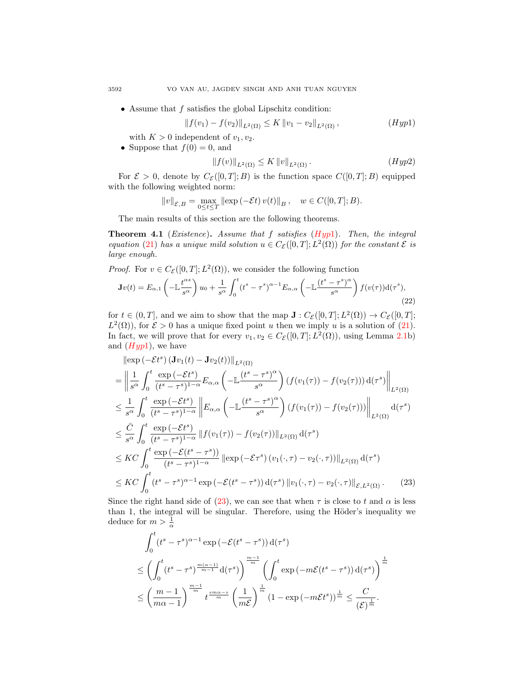• Assume that  $f$  satisfies the global Lipschitz condition:

$$
||f(v_1) - f(v_2)||_{L^2(\Omega)} \le K ||v_1 - v_2||_{L^2(\Omega)}, \qquad (Hyp1)
$$

with  $K > 0$  independent of  $v_1, v_2$ .

• Suppose that  $f(0) = 0$ , and

<span id="page-11-3"></span><span id="page-11-2"></span><span id="page-11-0"></span>
$$
||f(v)||_{L^{2}(\Omega)} \leq K ||v||_{L^{2}(\Omega)}.
$$
\n(Hyp2)

For  $\mathcal{E} > 0$ , denote by  $C_{\mathcal{E}}([0,T];B)$  is the function space  $C([0,T];B)$  equipped with the following weighted norm:

$$
||v||_{\mathcal{E},B} = \max_{0 \le t \le T} ||\exp(-\mathcal{E}t) v(t)||_B, \quad w \in C([0,T];B).
$$

The main results of this section are the following theorems.

<span id="page-11-4"></span>**Theorem 4.1** (Existence). Assume that  $f$  satisfies ([Hyp](#page-11-0)1). Then, the integral equation [\(21\)](#page-10-3) has a unique mild solution  $u \in C_{\mathcal{E}}([0,T];L^2(\Omega))$  for the constant  $\mathcal E$  is large enough.

*Proof.* For  $v \in C_{\mathcal{E}}([0,T]; L^2(\Omega))$ , we consider the following function

$$
\mathbf{J}v(t) = E_{\alpha,1} \left( -\mathbb{L}\frac{t^{\alpha s}}{s^{\alpha}} \right) u_0 + \frac{1}{s^{\alpha}} \int_0^t (t^s - \tau^s)^{\alpha-1} E_{\alpha,\alpha} \left( -\mathbb{L}\frac{(t^s - \tau^s)^{\alpha}}{s^{\alpha}} \right) f(v(\tau)) \mathrm{d}(\tau^s), \tag{22}
$$

for  $t \in (0,T]$ , and we aim to show that the map  $\mathbf{J}: C_{\mathcal{E}}([0,T]; L^2(\Omega)) \to C_{\mathcal{E}}([0,T];$  $L^2(\Omega)$ , for  $\mathcal{E} > 0$  has a unique fixed point u then we imply u is a solution of [\(21\)](#page-10-3). In fact, we will prove that for every  $v_1, v_2 \in C_{\mathcal{E}}([0,T]; L^2(\Omega))$ , using Lemma [2.1b](#page-3-0)) and  $(Hyp1)$  $(Hyp1)$  $(Hyp1)$ , we have

$$
\|\exp\left(-\mathcal{E}t^{s}\right)(\mathbf{J}v_{1}(t) - \mathbf{J}v_{2}(t))\|_{L^{2}(\Omega)}
$$
\n
$$
= \left\|\frac{1}{s^{\alpha}} \int_{0}^{t} \frac{\exp\left(-\mathcal{E}t^{s}\right)}{(t^{s} - \tau^{s})^{1-\alpha}} E_{\alpha,\alpha}\left(-\mathbb{L}\frac{(t^{s} - \tau^{s})^{\alpha}}{s^{\alpha}}\right) (f(v_{1}(\tau)) - f(v_{2}(\tau))) d(\tau^{s})\right\|_{L^{2}(\Omega)}
$$
\n
$$
\leq \frac{1}{s^{\alpha}} \int_{0}^{t} \frac{\exp\left(-\mathcal{E}t^{s}\right)}{(t^{s} - \tau^{s})^{1-\alpha}} \left\|E_{\alpha,\alpha}\left(-\mathbb{L}\frac{(t^{s} - \tau^{s})^{\alpha}}{s^{\alpha}}\right) (f(v_{1}(\tau)) - f(v_{2}(\tau)))\right\|_{L^{2}(\Omega)} d(\tau^{s})
$$
\n
$$
\leq \frac{\bar{C}}{s^{\alpha}} \int_{0}^{t} \frac{\exp\left(-\mathcal{E}t^{s}\right)}{(t^{s} - \tau^{s})^{1-\alpha}} \left\|f(v_{1}(\tau)) - f(v_{2}(\tau))\right\|_{L^{2}(\Omega)} d(\tau^{s})
$$
\n
$$
\leq KC \int_{0}^{t} \frac{\exp\left(-\mathcal{E}(t^{s} - \tau^{s})\right)}{(t^{s} - \tau^{s})^{1-\alpha}} \left\| \exp\left(-\mathcal{E}\tau^{s}\right) (v_{1}(\cdot, \tau) - v_{2}(\cdot, \tau))\right\|_{L^{2}(\Omega)} d(\tau^{s})
$$
\n
$$
\leq KC \int_{0}^{t} (t^{s} - \tau^{s})^{\alpha-1} \exp\left(-\mathcal{E}(t^{s} - \tau^{s})\right) d(\tau^{s}) \left\|v_{1}(\cdot, \tau) - v_{2}(\cdot, \tau)\right\|_{\mathcal{E}, L^{2}(\Omega)} . \tag{23}
$$

Since the right hand side of [\(23\)](#page-11-1), we can see that when  $\tau$  is close to t and  $\alpha$  is less than 1, the integral will be singular. Therefore, using the Höder's inequality we deduce for  $m > \frac{1}{\alpha}$ 

<span id="page-11-1"></span>
$$
\int_0^t (t^s - \tau^s)^{\alpha - 1} \exp\left(-\mathcal{E}(t^s - \tau^s)\right) d(\tau^s)
$$
\n
$$
\leq \left(\int_0^t (t^s - \tau^s)^{\frac{m(\alpha - 1)}{m - 1}} d(\tau^s)\right)^{\frac{m - 1}{m}} \left(\int_0^t \exp\left(-m\mathcal{E}(t^s - \tau^s)\right) d(\tau^s)\right)^{\frac{1}{m}}
$$
\n
$$
\leq \left(\frac{m - 1}{m\alpha - 1}\right)^{\frac{m - 1}{m}} t^{\frac{sm\alpha - s}{m}} \left(\frac{1}{m\mathcal{E}}\right)^{\frac{1}{m}} \left(1 - \exp\left(-m\mathcal{E}t^s\right)\right)^{\frac{1}{m}} \leq \frac{C}{(\mathcal{E})^{\frac{1}{m}}}.
$$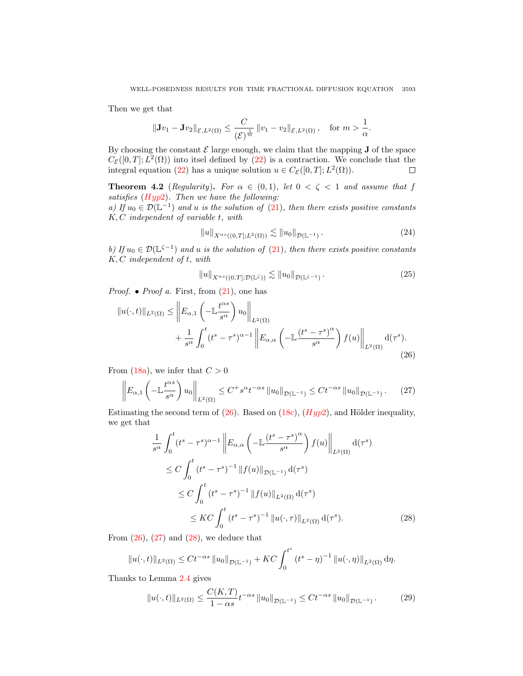Then we get that

$$
\|\mathbf{J}v_1-\mathbf{J}v_2\|_{\mathcal{E},L^2(\Omega)}\leq \frac{C}{(\mathcal{E})^{\frac{1}{m}}}\|v_1-v_2\|_{\mathcal{E},L^2(\Omega)},\quad \text{for }m>\frac{1}{\alpha}.
$$

By choosing the constant  $\mathcal E$  large enough, we claim that the mapping  $J$  of the space  $C_{\mathcal{E}}([0,T];L^2(\Omega))$  into itsel defined by [\(22\)](#page-11-2) is a contraction. We conclude that the integral equation [\(22\)](#page-11-2) has a unique solution  $u \in C_{\mathcal{E}}([0,T]; L^2(\Omega)).$  $\Box$ 

<span id="page-12-6"></span>**Theorem 4.2** (Regularity). For  $\alpha \in (0,1)$ , let  $0 < \zeta < 1$  and assume that f satisfies  $(Hyp2)$  $(Hyp2)$  $(Hyp2)$ . Then we have the following:

a) If  $u_0 \in \mathcal{D}(\mathbb{L}^{-1})$  and u is the solution of  $(21)$ , then there exists positive constants K, C independent of variable t, with

<span id="page-12-4"></span>
$$
||u||_{X^{\alpha s}((0,T];L^2(\Omega))} \lesssim ||u_0||_{\mathcal{D}(\mathbb{L}^{-1})}.
$$
\n(24)

b) If  $u_0 \in \mathcal{D}(\mathbb{L}^{\zeta-1})$  and u is the solution of [\(21\)](#page-10-3), then there exists positive constants  $K, C$  independent of  $t$ , with

<span id="page-12-5"></span><span id="page-12-1"></span><span id="page-12-0"></span>
$$
||u||_{X^{\alpha s}((0,T];\mathcal{D}(\mathbb{L}^\zeta))} \lesssim ||u_0||_{\mathcal{D}(\mathbb{L}^{\zeta-1})}.
$$
 (25)

*Proof.* • *Proof a.* First, from  $(21)$ , one has

$$
||u(\cdot,t)||_{L^{2}(\Omega)} \leq \left\|E_{\alpha,1}\left(-\mathbb{L}\frac{t^{\alpha s}}{s^{\alpha}}\right)u_{0}\right\|_{L^{2}(\Omega)} + \frac{1}{s^{\alpha}}\int_{0}^{t}(t^{s}-\tau^{s})^{\alpha-1}\left\|E_{\alpha,\alpha}\left(-\mathbb{L}\frac{(t^{s}-\tau^{s})^{\alpha}}{s^{\alpha}}\right)f(u)\right\|_{L^{2}(\Omega)}d(\tau^{s}).
$$
\n(26)

From [\(18a\)](#page-8-1), we infer that  $C > 0$ 

$$
\left\| E_{\alpha,1} \left( - \mathbb{L} \frac{t^{\alpha s}}{s^{\alpha}} \right) u_0 \right\|_{L^2(\Omega)} \le C^+ s^{\alpha} t^{-\alpha s} \left\| u_0 \right\|_{\mathcal{D}(\mathbb{L}^{-1})} \le C t^{-\alpha s} \left\| u_0 \right\|_{\mathcal{D}(\mathbb{L}^{-1})}. \tag{27}
$$

Estimating the second term of  $(26)$ . Based on  $(18c)$ ,  $(Hyp2)$  $(Hyp2)$  $(Hyp2)$ , and Hölder inequality, we get that

<span id="page-12-2"></span>
$$
\frac{1}{s^{\alpha}} \int_{0}^{t} (t^{s} - \tau^{s})^{\alpha - 1} \left\| E_{\alpha,\alpha} \left( -\mathbb{L} \frac{(t^{s} - \tau^{s})^{\alpha}}{s^{\alpha}} \right) f(u) \right\|_{L^{2}(\Omega)} d(\tau^{s})
$$
\n
$$
\leq C \int_{0}^{t} (t^{s} - \tau^{s})^{-1} \| f(u) \|_{\mathcal{D}(\mathbb{L}^{-1})} d(\tau^{s})
$$
\n
$$
\leq C \int_{0}^{t} (t^{s} - \tau^{s})^{-1} \| f(u) \|_{L^{2}(\Omega)} d(\tau^{s})
$$
\n
$$
\leq KC \int_{0}^{t} (t^{s} - \tau^{s})^{-1} \| u(\cdot, \tau) \|_{L^{2}(\Omega)} d(\tau^{s}). \tag{28}
$$

From  $(26)$ ,  $(27)$  and  $(28)$ , we deduce that

$$
||u(\cdot,t)||_{L^{2}(\Omega)} \leq Ct^{-\alpha s} ||u_{0}||_{\mathcal{D}(\mathbb{L}^{-1})} + KC \int_{0}^{t^{s}} (t^{s} - \eta)^{-1} ||u(\cdot,\eta)||_{L^{2}(\Omega)} d\eta.
$$

Thanks to Lemma [2.4](#page-4-3) gives

<span id="page-12-3"></span>
$$
||u(\cdot,t)||_{L^{2}(\Omega)} \leq \frac{C(K,T)}{1-\alpha s} t^{-\alpha s} ||u_{0}||_{\mathcal{D}(\mathbb{L}^{-1})} \leq Ct^{-\alpha s} ||u_{0}||_{\mathcal{D}(\mathbb{L}^{-1})}. \tag{29}
$$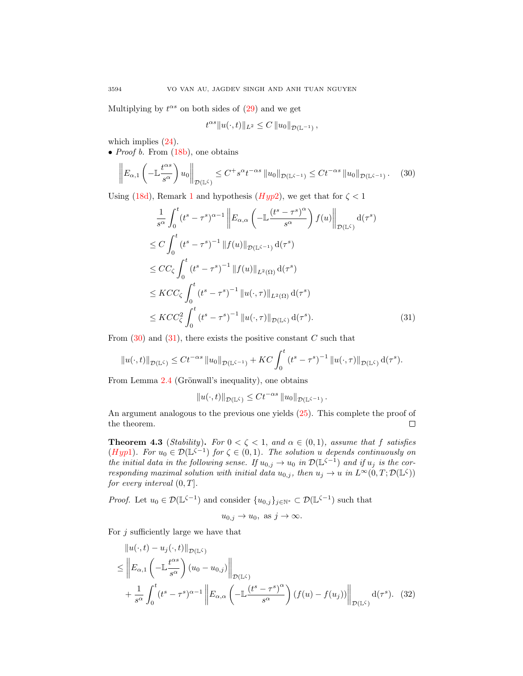Multiplying by  $t^{\alpha s}$  on both sides of  $(29)$  and we get

<span id="page-13-0"></span>
$$
t^{\alpha s} \|u(\cdot,t)\|_{L^2} \leq C \|u_0\|_{\mathcal{D}(\mathbb{L}^{-1})}
$$

which implies  $(24)$ .

• *Proof b.* From  $(18b)$ , one obtains

$$
\left\| E_{\alpha,1} \left( - \mathbb{L} \frac{t^{\alpha s}}{s^{\alpha}} \right) u_0 \right\|_{\mathcal{D}(\mathbb{L}^\zeta)} \leq C^+ s^{\alpha} t^{-\alpha s} \left\| u_0 \right\|_{\mathcal{D}(\mathbb{L}^{\zeta - 1})} \leq C t^{-\alpha s} \left\| u_0 \right\|_{\mathcal{D}(\mathbb{L}^{\zeta - 1})}. \tag{30}
$$

Using [\(18d\)](#page-8-4), Remark [1](#page-3-1) and hypothesis ( $Hyp2$  $Hyp2$ ), we get that for  $\zeta < 1$ 

$$
\frac{1}{s^{\alpha}} \int_{0}^{t} (t^{s} - \tau^{s})^{\alpha - 1} \left\| E_{\alpha,\alpha} \left( -\mathbb{L} \frac{(t^{s} - \tau^{s})^{\alpha}}{s^{\alpha}} \right) f(u) \right\|_{\mathcal{D}(\mathbb{L}^{\zeta})} d(\tau^{s})
$$
\n
$$
\leq C \int_{0}^{t} (t^{s} - \tau^{s})^{-1} \|f(u)\|_{\mathcal{D}(\mathbb{L}^{\zeta - 1})} d(\tau^{s})
$$
\n
$$
\leq CC_{\zeta} \int_{0}^{t} (t^{s} - \tau^{s})^{-1} \|f(u)\|_{L^{2}(\Omega)} d(\tau^{s})
$$
\n
$$
\leq KCC_{\zeta} \int_{0}^{t} (t^{s} - \tau^{s})^{-1} \|u(\cdot, \tau)\|_{L^{2}(\Omega)} d(\tau^{s})
$$
\n
$$
\leq KCC_{\zeta}^{2} \int_{0}^{t} (t^{s} - \tau^{s})^{-1} \|u(\cdot, \tau)\|_{\mathcal{D}(\mathbb{L}^{\zeta})} d(\tau^{s}). \tag{31}
$$

From  $(30)$  and  $(31)$ , there exists the positive constant C such that

$$
||u(\cdot,t)||_{\mathcal{D}(\mathbb{L}^{\zeta})} \leq C t^{-\alpha s} ||u_0||_{\mathcal{D}(\mathbb{L}^{\zeta-1})} + KC \int_0^t (t^s - \tau^s)^{-1} ||u(\cdot,\tau)||_{\mathcal{D}(\mathbb{L}^{\zeta})} d(\tau^s).
$$

From Lemma  $2.4$  (Grönwall's inequality), one obtains

<span id="page-13-1"></span>
$$
||u(\cdot,t)||_{\mathcal{D}(\mathbb{L}^\zeta)} \leq C t^{-\alpha s} ||u_0||_{\mathcal{D}(\mathbb{L}^{\zeta-1})}.
$$

An argument analogous to the previous one yields [\(25\)](#page-12-5). This complete the proof of the theorem.  $\Box$ 

**Theorem 4.3** (Stability). For  $0 < \zeta < 1$ , and  $\alpha \in (0,1)$ , assume that f satisfies ([Hyp](#page-11-0)1). For  $u_0 \in \mathcal{D}(\mathbb{L}^{\zeta-1})$  for  $\zeta \in (0,1)$ . The solution u depends continuously on the initial data in the following sense. If  $u_{0,j} \to u_0$  in  $\mathcal{D}(\mathbb{L}^{\zeta-1})$  and if  $u_j$  is the corresponding maximal solution with initial data  $u_{0,j}$ , then  $u_j \to u$  in  $L^{\infty}(0,T;\mathcal{D}(\mathbb{L}^{\zeta}))$ for every interval  $(0, T]$ .

*Proof.* Let  $u_0 \in \mathcal{D}(\mathbb{L}^{\zeta-1})$  and consider  $\{u_{0,j}\}_{j\in\mathbb{N}^*} \subset \mathcal{D}(\mathbb{L}^{\zeta-1})$  such that

<span id="page-13-2"></span>
$$
u_{0,j} \to u_0
$$
, as  $j \to \infty$ .

For  $j$  sufficiently large we have that

$$
\|u(\cdot,t) - u_j(\cdot,t)\|_{\mathcal{D}(\mathbb{L}^{\zeta})}\n\leq \|E_{\alpha,1}\left(-\mathbb{L}\frac{t^{\alpha s}}{s^{\alpha}}\right)(u_0 - u_{0,j})\|_{\mathcal{D}(\mathbb{L}^{\zeta})}\n+ \frac{1}{s^{\alpha}} \int_0^t (t^s - \tau^s)^{\alpha-1} \|E_{\alpha,\alpha}\left(-\mathbb{L}\frac{(t^s - \tau^s)^{\alpha}}{s^{\alpha}}\right)(f(u) - f(u_j))\|_{\mathcal{D}(\mathbb{L}^{\zeta})} d(\tau^s). (32)
$$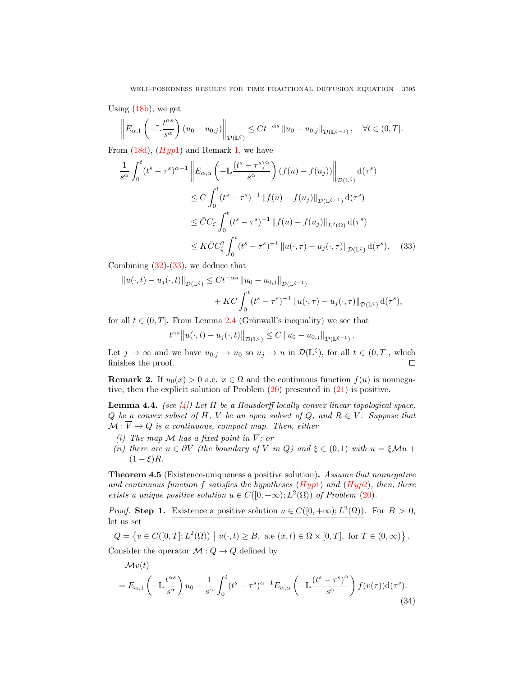Using [\(18b\)](#page-8-2), we get

$$
\left\| E_{\alpha,1} \left( -\mathbb{L} \frac{t^{\alpha s}}{s^{\alpha}} \right) (u_0 - u_{0,j}) \right\|_{\mathcal{D}(\mathbb{L}^\zeta)} \leq C t^{-\alpha s} \left\| u_0 - u_{0,j} \right\|_{\mathcal{D}(\mathbb{L}^{\zeta - 1})}, \quad \forall t \in (0,T].
$$

From  $(18d)$ ,  $(Hyp1)$  $(Hyp1)$  $(Hyp1)$  and Remark [1,](#page-3-1) we have

$$
\frac{1}{s^{\alpha}} \int_{0}^{t} (t^{s} - \tau^{s})^{\alpha - 1} \left\| E_{\alpha,\alpha} \left( -\mathbb{L} \frac{(t^{s} - \tau^{s})^{\alpha}}{s^{\alpha}} \right) (f(u) - f(u_{j})) \right\|_{\mathcal{D}(\mathbb{L}^{\zeta})} d(\tau^{s})
$$
\n
$$
\leq \bar{C} \int_{0}^{t} (t^{s} - \tau^{s})^{-1} \|f(u) - f(u_{j})\|_{\mathcal{D}(\mathbb{L}^{\zeta - 1})} d(\tau^{s})
$$
\n
$$
\leq \bar{C} C_{\zeta} \int_{0}^{t} (t^{s} - \tau^{s})^{-1} \|f(u) - f(u_{j})\|_{L^{2}(\Omega)} d(\tau^{s})
$$
\n
$$
\leq K \bar{C} C_{\zeta}^{2} \int_{0}^{t} (t^{s} - \tau^{s})^{-1} \|u(\cdot, \tau) - u_{j}(\cdot, \tau)\|_{\mathcal{D}(\mathbb{L}^{\zeta})} d(\tau^{s}). \tag{33}
$$

Combining  $(32)-(33)$  $(32)-(33)$  $(32)-(33)$ , we deduce that

$$
||u(\cdot,t) - u_j(\cdot,t)||_{\mathcal{D}(\mathbb{L}^{\zeta})} \leq C t^{-\alpha s} ||u_0 - u_{0,j}||_{\mathcal{D}(\mathbb{L}^{\zeta-1})} + KC \int_0^t (t^s - \tau^s)^{-1} ||u(\cdot,\tau) - u_j(\cdot,\tau)||_{\mathcal{D}(\mathbb{L}^{\zeta})} d(\tau^s),
$$

for all  $t \in (0, T]$ . From Lemma [2.4](#page-4-3) (Grönwall's inequality) we see that

<span id="page-14-0"></span>
$$
t^{\alpha s} ||u(\cdot,t) - u_j(\cdot,t)||_{\mathcal{D}(\mathbb{L}^\zeta)} \leq C ||u_0 - u_{0,j}||_{\mathcal{D}(\mathbb{L}^{\zeta-1})}.
$$

Let  $j \to \infty$  and we have  $u_{0,j} \to u_0$  so  $u_j \to u$  in  $\mathcal{D}(\mathbb{L}^{\zeta})$ , for all  $t \in (0,T]$ , which finishes the proof.  $\Box$ 

<span id="page-14-1"></span>**Remark 2.** If  $u_0(x) > 0$  a.e.  $x \in \Omega$  and the continuous function  $f(u)$  is nonnegative, then the explicit solution of Problem [\(20\)](#page-10-2) presented in [\(21\)](#page-10-3) is positive.

<span id="page-14-3"></span>**Lemma 4.4.** (see [\[4\]](#page-25-20)) Let H be a Hausdorff locally convex linear topological space, Q be a convex subset of H, V be an open subset of Q, and  $R \in V$ . Suppose that  $M : \overline{V} \to Q$  is a continuous, compact map. Then, either

- (i) The map M has a fixed point in  $\overline{V}$ ; or
- (ii) there are  $u \in \partial V$  (the boundary of V in Q) and  $\xi \in (0,1)$  with  $u = \xi \mathcal{M}u +$  $(1 - \xi)R$ .

**Theorem 4.5** (Existence-uniqueness a positive solution). Assume that nonnegative and continuous function f satisfies the hypotheses  $(Hyp1)$  $(Hyp1)$  $(Hyp1)$  and  $(Hyp2)$ , then, there exists a unique positive solution  $u \in C([0, +\infty); L^2(\Omega))$  of Problem [\(20\)](#page-10-2).

*Proof.* Step 1. Existence a positive solution  $u \in C([0, +\infty); L^2(\Omega))$ . For  $B > 0$ , let us set

$$
Q = \{ v \in C([0, T]; L^{2}(\Omega)) \mid u(\cdot, t) \geq B, \text{ a.e } (x, t) \in \Omega \times [0, T], \text{ for } T \in (0, \infty) \}.
$$

Consider the operator  $\mathcal{M}: Q \to Q$  defined by

<span id="page-14-2"></span>
$$
\mathcal{M}v(t) = E_{\alpha,1} \left( -\mathbb{L}\frac{t^{\alpha s}}{s^{\alpha}} \right) u_0 + \frac{1}{s^{\alpha}} \int_0^t (t^s - \tau^s)^{\alpha-1} E_{\alpha,\alpha} \left( -\mathbb{L}\frac{(t^s - \tau^s)^{\alpha}}{s^{\alpha}} \right) f(v(\tau)) \mathrm{d}(\tau^s). \tag{34}
$$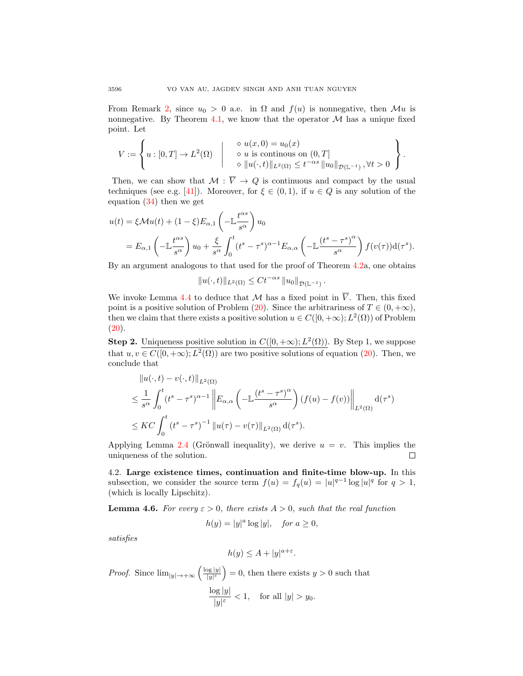From Remark [2,](#page-14-1) since  $u_0 > 0$  a.e. in  $\Omega$  and  $f(u)$  is nonnegative, then  $\mathcal{M}u$  is nonnegative. By Theorem [4.1,](#page-11-4) we know that the operator  $\mathcal M$  has a unique fixed point. Let

$$
V := \left\{ u : [0, T] \to L^2(\Omega) \middle| \begin{array}{c} \diamond u(x, 0) = u_0(x) \\ \diamond u \text{ is continuous on } (0, T] \\ \diamond ||u(\cdot, t)||_{L^2(\Omega)} \leq t^{-\alpha s} ||u_0||_{\mathcal{D}(\mathbb{L}^{-1})}, \forall t > 0 \end{array} \right\}.
$$

Then, we can show that  $M : \overline{V} \to Q$  is continuous and compact by the usual techniques (see e.g. [\[41\]](#page-26-17)). Moreover, for  $\xi \in (0,1)$ , if  $u \in Q$  is any solution of the equation [\(34\)](#page-14-2) then we get

$$
u(t) = \xi \mathcal{M}u(t) + (1 - \xi)E_{\alpha,1}\left(-\mathbb{L}\frac{t^{\alpha s}}{s^{\alpha}}\right)u_0
$$
  
=  $E_{\alpha,1}\left(-\mathbb{L}\frac{t^{\alpha s}}{s^{\alpha}}\right)u_0 + \frac{\xi}{s^{\alpha}}\int_0^t (t^s - \tau^s)^{\alpha-1}E_{\alpha,\alpha}\left(-\mathbb{L}\frac{(t^s - \tau^s)^{\alpha}}{s^{\alpha}}\right)f(v(\tau))d(\tau^s).$ 

By an argument analogous to that used for the proof of Theorem [4.2a](#page-12-6), one obtains

 $||u(\cdot, t)||_{L^2(\Omega)} \leq C t^{-\alpha s} ||u_0||_{\mathcal{D}(\mathbb{L}^{-1})}.$ 

We invoke Lemma [4.4](#page-14-3) to deduce that M has a fixed point in  $\overline{V}$ . Then, this fixed point is a positive solution of Problem [\(20\)](#page-10-2). Since the arbitrariness of  $T \in (0, +\infty)$ , then we claim that there exists a positive solution  $u \in C([0, +\infty); L^2(\Omega))$  of Problem  $(20).$  $(20).$ 

**Step 2.** Uniqueness positive solution in  $C([0, +\infty); L^2(\Omega))$ . By Step 1, we suppose that  $u, v \in C([0, +\infty); L^2(\Omega))$  are two positive solutions of equation [\(20\)](#page-10-2). Then, we conclude that

$$
\|u(\cdot,t) - v(\cdot,t)\|_{L^2(\Omega)}
$$
\n
$$
\leq \frac{1}{s^{\alpha}} \int_0^t (t^s - \tau^s)^{\alpha-1} \left\| E_{\alpha,\alpha} \left( -\mathbb{L} \frac{(t^s - \tau^s)^{\alpha}}{s^{\alpha}} \right) (f(u) - f(v)) \right\|_{L^2(\Omega)} d(\tau^s)
$$
\n
$$
\leq KC \int_0^t (t^s - \tau^s)^{-1} \|u(\tau) - v(\tau)\|_{L^2(\Omega)} d(\tau^s).
$$

Applying Lemma [2.4](#page-4-3) (Grönwall inequality), we derive  $u = v$ . This implies the uniqueness of the solution.  $\Box$ 

4.2. Large existence times, continuation and finite-time blow-up. In this subsection, we consider the source term  $f(u) = f_q(u) = |u|^{q-1} \log |u|^q$  for  $q > 1$ , (which is locally Lipschitz).

<span id="page-15-0"></span>**Lemma 4.6.** For every  $\varepsilon > 0$ , there exists  $A > 0$ , such that the real function

$$
h(y) = |y|^a \log |y|, \quad \text{for } a \ge 0,
$$

satisfies

$$
h(y) \le A + |y|^{a+\varepsilon}.
$$

*Proof.* Since  $\lim_{|y| \to +\infty} \left( \frac{\log |y|}{|y| \varepsilon} \right)$  $\frac{|\mathbf{y}||\mathbf{y}|}{|\mathbf{y}|^{s}}$  = 0, then there exists  $y > 0$  such that  $\log|y|$  $\frac{y|y|}{|y|^{\varepsilon}} < 1$ , for all  $|y| > y_0$ .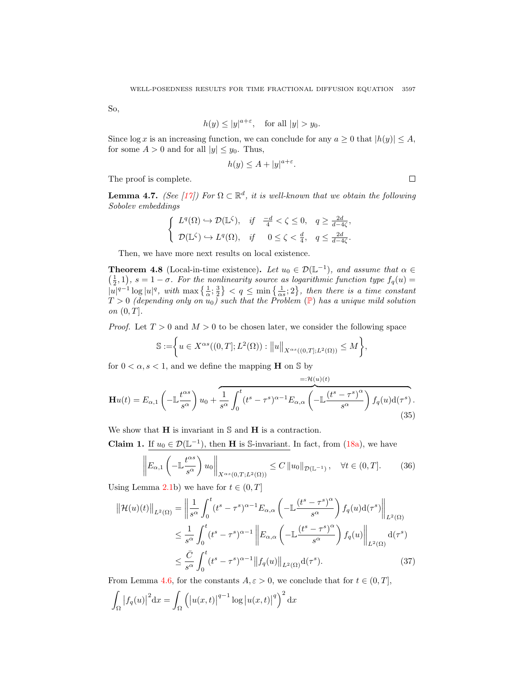So,

$$
h(y) \le |y|^{a+\varepsilon}, \quad \text{for all } |y| > y_0.
$$

Since  $\log x$  is an increasing function, we can conclude for any  $a \geq 0$  that  $|h(y)| \leq A$ , for some  $A > 0$  and for all  $|y| \leq y_0$ . Thus,

$$
h(y) \le A + |y|^{a+\varepsilon}.
$$

The proof is complete.

<span id="page-16-2"></span>**Lemma 4.7.** (See [\[17\]](#page-25-21)) For  $\Omega \subset \mathbb{R}^d$ , it is well-known that we obtain the following Sobolev embeddings

$$
\begin{cases}\nL^q(\Omega) \hookrightarrow \mathcal{D}(\mathbb{L}^{\zeta}), & \text{if } \frac{-d}{4} < \zeta \le 0, \quad q \ge \frac{2d}{d-4\zeta}, \\
\mathcal{D}(\mathbb{L}^{\zeta}) \hookrightarrow L^q(\Omega), & \text{if } \quad 0 \le \zeta < \frac{d}{4}, \quad q \le \frac{2d}{d-4\zeta}.\n\end{cases}
$$

Then, we have more next results on local existence.

<span id="page-16-3"></span>**Theorem 4.8** (Local-in-time existence). Let  $u_0 \in \mathcal{D}(\mathbb{L}^{-1})$ , and assume that  $\alpha \in \mathbb{L}$  $(\frac{1}{2}, 1)$ ,  $s = 1 - \sigma$ . For the nonlinearity source as logarithmic function type  $f_q(u) =$  $|u|^{q-1} \log |u|^q$ , with  $\max\left\{\frac{1}{\alpha};\frac{3}{2}\right\} < q \le \min\left\{\frac{1}{\alpha s};2\right\}$ , then there is a time constant  $T > 0$  (depending only on  $u_0$ ) such that the [P](#page-0-0)roblem (P) has a unique mild solution on  $(0, T]$ .

*Proof.* Let  $T > 0$  and  $M > 0$  to be chosen later, we consider the following space

$$
\mathbb{S} := \bigg\{ u \in X^{\alpha s}((0,T];L^2(\Omega)) : ||u||_{X^{\alpha s}((0,T];L^2(\Omega))} \leq M \bigg\},
$$

for  $0 < \alpha, s < 1$ , and we define the mapping **H** on S by

$$
\mathbf{H}u(t) = E_{\alpha,1} \left( -\mathbb{L} \frac{t^{\alpha s}}{s^{\alpha}} \right) u_0 + \frac{1}{s^{\alpha}} \int_0^t (t^s - \tau^s)^{\alpha - 1} E_{\alpha,\alpha} \left( -\mathbb{L} \frac{(t^s - \tau^s)^{\alpha}}{s^{\alpha}} \right) f_q(u) \mathrm{d}(\tau^s).
$$
\n(35)

We show that  $H$  is invariant in  $S$  and  $H$  is a contraction.

**Claim 1.** If  $u_0 \in \mathcal{D}(\mathbb{L}^{-1})$ , then **H** is S-invariant. In fact, from [\(18a\)](#page-8-1), we have

$$
\left\| E_{\alpha,1} \left( - \mathbb{L} \frac{t^{\alpha s}}{s^{\alpha}} \right) u_0 \right\|_{X^{\alpha s}(0,T;L^2(\Omega))} \le C \left\| u_0 \right\|_{\mathcal{D}(\mathbb{L}^{-1})}, \quad \forall t \in (0,T]. \tag{36}
$$

<span id="page-16-4"></span><span id="page-16-1"></span><span id="page-16-0"></span> $= .41$ (i)(i)

Using Lemma [2.1b](#page-3-0)) we have for  $t \in (0, T]$ 

$$
\|\mathcal{H}(u)(t)\|_{L^{2}(\Omega)} = \left\|\frac{1}{s^{\alpha}} \int_{0}^{t} (t^{s} - \tau^{s})^{\alpha - 1} E_{\alpha,\alpha} \left( -\mathbb{L} \frac{(t^{s} - \tau^{s})^{\alpha}}{s^{\alpha}} \right) f_{q}(u) d(\tau^{s}) \right\|_{L^{2}(\Omega)}
$$
  

$$
\leq \frac{1}{s^{\alpha}} \int_{0}^{t} (t^{s} - \tau^{s})^{\alpha - 1} \left\| E_{\alpha,\alpha} \left( -\mathbb{L} \frac{(t^{s} - \tau^{s})^{\alpha}}{s^{\alpha}} \right) f_{q}(u) \right\|_{L^{2}(\Omega)} d(\tau^{s})
$$
  

$$
\leq \frac{\bar{C}}{s^{\alpha}} \int_{0}^{t} (t^{s} - \tau^{s})^{\alpha - 1} \|f_{q}(u)\|_{L^{2}(\Omega)} d(\tau^{s}). \tag{37}
$$

From Lemma [4.6,](#page-15-0) for the constants  $A, \varepsilon > 0$ , we conclude that for  $t \in (0, T]$ , Z Ω  $|f_q(u)|$  $x = 1$ Ω  $\Bigl(\bigl|u(x,t)\bigr|$  $\left| \int_{a}^{a-1} \log |u(x,t)| \right|$ <sup>q</sup>)<sup>2</sup> dx

 $\Box$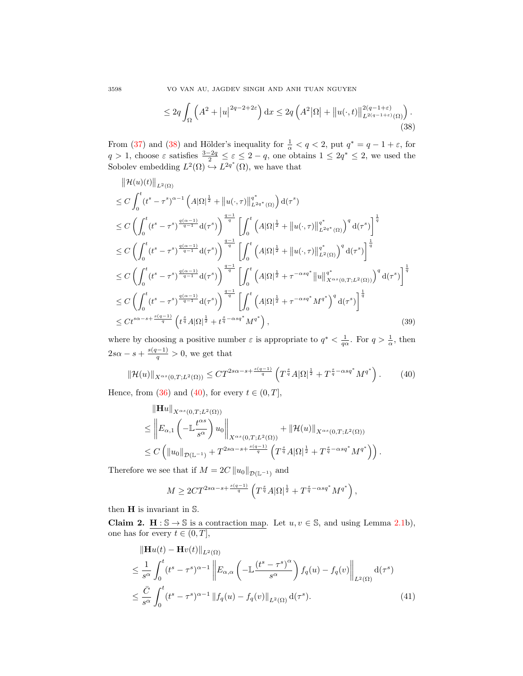3598 VO VAN AU, JAGDEV SINGH AND ANH TUAN NGUYEN

<span id="page-17-0"></span>
$$
\leq 2q \int_{\Omega} \left( A^2 + |u|^{2q - 2 + 2\varepsilon} \right) dx \leq 2q \left( A^2 |\Omega| + \| u(\cdot, t) \|_{L^{2(q-1+\varepsilon)}(\Omega)}^{2(q-1+\varepsilon)} \right). \tag{38}
$$

From [\(37\)](#page-16-0) and [\(38\)](#page-17-0) and Hölder's inequality for  $\frac{1}{\alpha} < q < 2$ , put  $q^* = q - 1 + \varepsilon$ , for  $q > 1$ , choose  $\varepsilon$  satisfies  $\frac{3-2q}{2} \leq \varepsilon \leq 2-q$ , one obtains  $1 \leq 2q^* \leq 2$ , we used the Sobolev embedding  $L^2(\Omega) \to L^{2q^*}(\Omega)$ , we have that

$$
\|\mathcal{H}(u)(t)\|_{L^{2}(\Omega)} \leq C \int_{0}^{t} (t^{s} - \tau^{s})^{\alpha - 1} \left( A|\Omega|^{\frac{1}{2}} + \|u(\cdot,\tau)\|_{L^{2q^{*}}(\Omega)}^{q^{*}} \right) d(\tau^{s})
$$
  
\n
$$
\leq C \left( \int_{0}^{t} (t^{s} - \tau^{s})^{\frac{q(\alpha - 1)}{q - 1}} d(\tau^{s}) \right)^{\frac{q - 1}{q}} \left[ \int_{0}^{t} \left( A|\Omega|^{\frac{1}{2}} + \|u(\cdot,\tau)\|_{L^{2q^{*}}(\Omega)}^{q^{*}} \right)^{q} d(\tau^{s}) \right]^{\frac{1}{q}}
$$
  
\n
$$
\leq C \left( \int_{0}^{t} (t^{s} - \tau^{s})^{\frac{q(\alpha - 1)}{q - 1}} d(\tau^{s}) \right)^{\frac{q - 1}{q}} \left[ \int_{0}^{t} \left( A|\Omega|^{\frac{1}{2}} + \|u(\cdot,\tau)\|_{L^{2}(\Omega)}^{q^{*}} \right)^{q} d(\tau^{s}) \right]^{\frac{1}{q}}
$$
  
\n
$$
\leq C \left( \int_{0}^{t} (t^{s} - \tau^{s})^{\frac{q(\alpha - 1)}{q - 1}} d(\tau^{s}) \right)^{\frac{q - 1}{q}} \left[ \int_{0}^{t} \left( A|\Omega|^{\frac{1}{2}} + \tau^{-\alpha s q^{*}} \|u\|_{X^{\alpha s}(0, T; L^{2}(\Omega))}^{q^{*}} \right)^{q} d(\tau^{s}) \right]^{\frac{1}{q}}
$$
  
\n
$$
\leq C \left( \int_{0}^{t} (t^{s} - \tau^{s})^{\frac{q(\alpha - 1)}{q - 1}} d(\tau^{s}) \right)^{\frac{q - 1}{q}} \left[ \int_{0}^{t} \left( A|\Omega|^{\frac{1}{2}} + \tau^{-\alpha s q^{*}} M^{q^{*}} \right)^{q} d(\tau^{s}) \right]^{\frac{1}{q}}
$$
  
\n
$$
\leq Ct^{s\alpha - s + \frac{s(q - 1)}{q}} \left( t^{\frac{s}{q}} A|\Omega|^{\frac{1}{2}} + t^{\frac{s}{q} - \alpha s q^{*}} M^{q^{*}} \right), \tag
$$

where by choosing a positive number  $\varepsilon$  is appropriate to  $q^* < \frac{1}{q\alpha}$ . For  $q > \frac{1}{\alpha}$ , then  $2s\alpha - s + \frac{s(q-1)}{q} > 0$ , we get that

$$
\|\mathcal{H}(u)\|_{X^{\alpha s}(0,T;L^2(\Omega))} \leq C T^{2s\alpha - s + \frac{s(q-1)}{q}} \left( T^{\frac{s}{q}} A |\Omega|^{\frac{1}{2}} + T^{\frac{s}{q} - \alpha s q^*} M^{q^*} \right). \tag{40}
$$

Hence, from [\(36\)](#page-16-1) and [\(40\)](#page-17-1), for every  $t \in (0, T]$ ,

<span id="page-17-3"></span><span id="page-17-1"></span>
$$
\| \mathbf{H} u \|_{X^{\alpha s}(0,T;L^{2}(\Omega))}
$$
\n
$$
\leq \left\| E_{\alpha,1} \left( -\mathbb{L} \frac{t^{\alpha s}}{s^{\alpha}} \right) u_{0} \right\|_{X^{\alpha s}(0,T;L^{2}(\Omega))} + \| \mathcal{H}(u) \|_{X^{\alpha s}(0,T;L^{2}(\Omega))}
$$
\n
$$
\leq C \left( \| u_{0} \|_{\mathcal{D}(\mathbb{L}^{-1})} + T^{2s\alpha - s + \frac{s(q-1)}{q}} \left( T^{\frac{s}{q}} A |\Omega|^{\frac{1}{2}} + T^{\frac{s}{q} - \alpha s q^{*}} M^{q^{*}} \right) \right).
$$

Therefore we see that if  $M = 2C ||u_0||_{\mathcal{D}(\mathbb{L}^{-1})}$  and

<span id="page-17-2"></span>
$$
M \geq 2CT^{2s\alpha-s+\frac{s(q-1)}{q}}\left(T^{\frac{s}{q}}A|\Omega|^{\frac{1}{2}}+T^{\frac{s}{q}-\alpha sq^*}M^{q^*}\right),
$$

then H is invariant in S.

**Claim 2.** H :  $\mathbb{S} \to \mathbb{S}$  is a contraction map. Let  $u, v \in \mathbb{S}$ , and using Lemma [2.1b](#page-3-0)), one has for every  $t \in (0, T]$ ,

$$
\|\mathbf{H}u(t) - \mathbf{H}v(t)\|_{L^{2}(\Omega)}
$$
\n
$$
\leq \frac{1}{s^{\alpha}} \int_{0}^{t} (t^{s} - \tau^{s})^{\alpha - 1} \left\| E_{\alpha,\alpha} \left( -\mathbb{L} \frac{(t^{s} - \tau^{s})^{\alpha}}{s^{\alpha}} \right) f_{q}(u) - f_{q}(v) \right\|_{L^{2}(\Omega)} d(\tau^{s})
$$
\n
$$
\leq \frac{\bar{C}}{s^{\alpha}} \int_{0}^{t} (t^{s} - \tau^{s})^{\alpha - 1} \left\| f_{q}(u) - f_{q}(v) \right\|_{L^{2}(\Omega)} d(\tau^{s}). \tag{41}
$$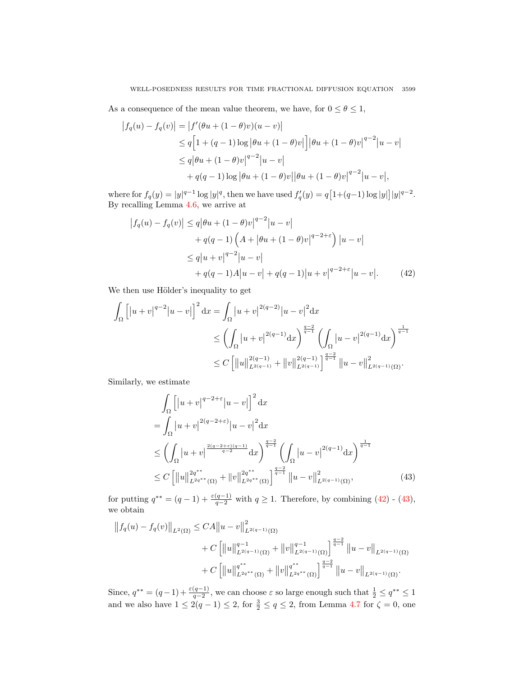As a consequence of the mean value theorem, we have, for  $0 \le \theta \le 1$ ,

$$
\begin{aligned} \left| f_q(u) - f_q(v) \right| &= \left| f'(\theta u + (1 - \theta)v)(u - v) \right| \\ &\le q \left[ 1 + (q - 1)\log |\theta u + (1 - \theta)v| \right] |\theta u + (1 - \theta)v|^{q-2} |u - v| \\ &\le q |\theta u + (1 - \theta)v|^{q-2} |u - v| \\ &\quad + q(q - 1)\log |\theta u + (1 - \theta)v| |\theta u + (1 - \theta)v|^{q-2} |u - v|, \end{aligned}
$$

where for  $f_q(y) = |y|^{q-1} \log |y|^q$ , then we have used  $f'_q(y) = q[1+(q-1)\log |y|] |y|^{q-2}$ . By recalling Lemma [4.6,](#page-15-0) we arrive at

<span id="page-18-0"></span>
$$
\begin{aligned} \left| f_q(u) - f_q(v) \right| &\le q \left| \theta u + (1 - \theta)v \right|^{q-2} \left| u - v \right| \\ &+ q(q-1) \left( A + \left| \theta u + (1 - \theta)v \right|^{q-2+\varepsilon} \right) \left| u - v \right| \\ &\le q \left| u + v \right|^{q-2} \left| u - v \right| \\ &+ q(q-1)A \left| u - v \right| + q(q-1) \left| u + v \right|^{q-2+\varepsilon} \left| u - v \right| . \end{aligned} \tag{42}
$$

We then use Hölder's inequality to get

$$
\int_{\Omega} \left[ |u+v|^{q-2} |u-v| \right]^2 dx = \int_{\Omega} |u+v|^{2(q-2)} |u-v|^2 dx
$$
  
\n
$$
\leq \left( \int_{\Omega} |u+v|^{2(q-1)} dx \right)^{\frac{q-2}{q-1}} \left( \int_{\Omega} |u-v|^{2(q-1)} dx \right)^{\frac{1}{q-1}}
$$
  
\n
$$
\leq C \left[ ||u||_{L^{2(q-1)}}^{2(q-1)} + ||v||_{L^{2(q-1)}}^{2(q-1)} \right]^{\frac{q-2}{q-1}} ||u-v||_{L^{2(q-1)}(\Omega)}^2.
$$

Similarly, we estimate

<span id="page-18-1"></span>
$$
\int_{\Omega} \left[ |u+v|^{q-2+\varepsilon} |u-v| \right]^2 dx
$$
\n
$$
= \int_{\Omega} |u+v|^{2(q-2+\varepsilon)} |u-v|^2 dx
$$
\n
$$
\leq \left( \int_{\Omega} |u+v|^{2(q-2+\varepsilon)(q-1)} dx \right)^{\frac{q-2}{q-1}} \left( \int_{\Omega} |u-v|^{2(q-1)} dx \right)^{\frac{1}{q-1}}
$$
\n
$$
\leq C \left[ ||u||_{L^{2q^{**}}(\Omega)}^{2q^{**}} + ||v||_{L^{2q^{**}}(\Omega)}^{2q^{**}} \right]^{\frac{q-2}{q-1}} ||u-v||_{L^{2(q-1)}(\Omega)}^{2}, \tag{43}
$$

for putting  $q^{**} = (q-1) + \frac{\varepsilon(q-1)}{q-2}$  with  $q \ge 1$ . Therefore, by combining  $(42)$  -  $(43)$ , we obtain

$$
||f_q(u) - f_q(v)||_{L^2(\Omega)} \leq C A ||u - v||^2_{L^{2(q-1)}(\Omega)} + C \left[ ||u||^{q-1}_{L^{2(q-1)}(\Omega)} + ||v||^{q-1}_{L^{2(q-1)}(\Omega)} \right]^{\frac{q-2}{q-1}} ||u - v||_{L^{2(q-1)}(\Omega)} + C \left[ ||u||^{q^{**}}_{L^{2q^{**}}(\Omega)} + ||v||^{q^{**}}_{L^{2q^{**}}(\Omega)} \right]^{\frac{q-2}{q-1}} ||u - v||_{L^{2(q-1)}(\Omega)}.
$$

Since,  $q^{**} = (q-1) + \frac{\varepsilon(q-1)}{q-2}$ , we can choose  $\varepsilon$  so large enough such that  $\frac{1}{2} \leq q^{**} \leq 1$ and we also have  $1 \le 2(q-1) \le 2$ , for  $\frac{3}{2} \le q \le 2$ , from Lemma [4.7](#page-16-2) for  $\zeta = 0$ , one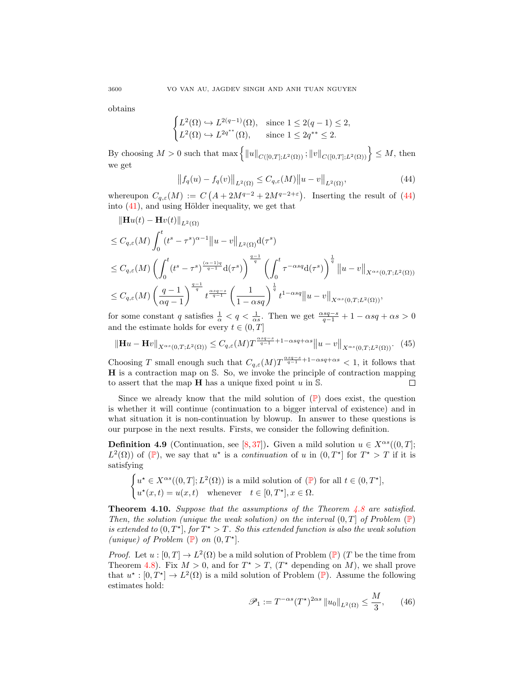obtains

$$
\begin{cases} L^2(\Omega) \hookrightarrow L^{2(q-1)}(\Omega), & \text{since } 1 \le 2(q-1) \le 2, \\ L^2(\Omega) \hookrightarrow L^{2q^{**}}(\Omega), & \text{since } 1 \le 2q^{**} \le 2. \end{cases}
$$

By choosing  $M > 0$  such that  $\max \{ ||u||_{C([0,T];L^2(\Omega))} ; ||v||_{C([0,T];L^2(\Omega))} \} \leq M$ , then we get

<span id="page-19-2"></span><span id="page-19-0"></span>
$$
||f_q(u) - f_q(v)||_{L^2(\Omega)} \le C_{q,\varepsilon}(M) ||u - v||_{L^2(\Omega)},
$$
\n(44)

whereupon  $C_{q,\varepsilon}(M) := C(A + 2M^{q-2} + 2M^{q-2+\varepsilon})$ . Inserting the result of [\(44\)](#page-19-0) into  $(41)$ , and using Hölder inequality, we get that

$$
\|\mathbf{H}u(t) - \mathbf{H}v(t)\|_{L^{2}(\Omega)}
$$
\n
$$
\leq C_{q,\varepsilon}(M) \int_{0}^{t} (t^{s} - \tau^{s})^{\alpha - 1} \|u - v\|_{L^{2}(\Omega)} d(\tau^{s})
$$
\n
$$
\leq C_{q,\varepsilon}(M) \left(\int_{0}^{t} (t^{s} - \tau^{s})^{\frac{(\alpha - 1)q}{q - 1}} d(\tau^{s})\right)^{\frac{q - 1}{q}} \left(\int_{0}^{t} \tau^{-\alpha s q} d(\tau^{s})\right)^{\frac{1}{q}} \|u - v\|_{X^{\alpha s}(0,T;L^{2}(\Omega))}
$$
\n
$$
\leq C_{q,\varepsilon}(M) \left(\frac{q - 1}{\alpha q - 1}\right)^{\frac{q - 1}{q}} t^{\frac{\alpha s q - s}{q - 1}} \left(\frac{1}{1 - \alpha s q}\right)^{\frac{1}{q}} t^{1 - \alpha s q} \|u - v\|_{X^{\alpha s}(0,T;L^{2}(\Omega))},
$$

for some constant q satisfies  $\frac{1}{\alpha} < q < \frac{1}{\alpha s}$ . Then we get  $\frac{\alpha sq - s}{q - 1} + 1 - \alpha sq + \alpha s > 0$ and the estimate holds for every  $t \in (0, T]$ 

$$
\|\mathbf{H}u - \mathbf{H}v\|_{X^{\alpha s}(0,T;L^2(\Omega))} \leq C_{q,\varepsilon}(M)T^{\frac{\alpha sq-s}{q-1}+1-\alpha sq+\alpha s} \|u - v\|_{X^{\alpha s}(0,T;L^2(\Omega))}. \tag{45}
$$

Choosing T small enough such that  $C_{q,\varepsilon}(M)T^{\frac{\alpha sq-s}{q-1}+1-\alpha sq+\alpha s} < 1$ , it follows that H is a contraction map on S. So, we invoke the principle of contraction mapping to assert that the map  $H$  has a unique fixed point u in S.  $\Box$ 

Since we already know that the mild solution of  $(\mathbb{P})$  $(\mathbb{P})$  $(\mathbb{P})$  does exist, the question is whether it will continue (continuation to a bigger interval of existence) and in what situation it is non-continuation by blowup. In answer to these questions is our purpose in the next results. Firsts, we consider the following definition.

**Definition 4.9** (Continuation, see [\[8,](#page-25-22)[37\]](#page-26-18)). Given a mild solution  $u \in X^{\alpha s}((0,T];$  $L^2(\Omega)$  of  $(\mathbb{P})$  $(\mathbb{P})$  $(\mathbb{P})$ , we say that  $u^*$  is a *continuation* of u in  $(0,T^*)$  for  $T^*>T$  if it is satisfying

$$
\begin{cases} u^* \in X^{\alpha s}((0,T];L^2(\Omega)) \text{ is a mild solution of } (\mathbb{P}) \text{ for all } t \in (0,T^*],\\ u^*(x,t) = u(x,t) \quad \text{whenever} \quad t \in [0,T^*], x \in \Omega. \end{cases}
$$

<span id="page-19-3"></span>**Theorem 4.10.** Suppose that the assumptions of the Theorem  $\angle 4.8$  $\angle 4.8$  are satisfied. Then, the solution (unique the weak solution) on the interval  $(0, T]$  of [P](#page-0-0)roblem  $(\mathbb{P})$ is extended to  $(0, T^{\star}],$  for  $T^{\star} > T$ . So this extended function is also the weak solution (unique) of [P](#page-0-0)roblem  $(\mathbb{P})$  on  $(0, T^*]$ .

*[P](#page-0-0)roof.* Let  $u : [0, T] \to L^2(\Omega)$  be a mild solution of Problem  $(\mathbb{P})$  (T be the time from Theorem [4.8\)](#page-16-3). Fix  $M > 0$ , and for  $T^* > T$ ,  $(T^*$  depending on M), we shall prove that  $u^* : [0, T^*] \to L^2(\Omega)$  is a mild solution of [P](#page-0-0)roblem (P). Assume the following estimates hold:

<span id="page-19-1"></span>
$$
\mathcal{P}_1 := T^{-\alpha s} (T^*)^{2\alpha s} \|u_0\|_{L^2(\Omega)} \le \frac{M}{3}, \qquad (46)
$$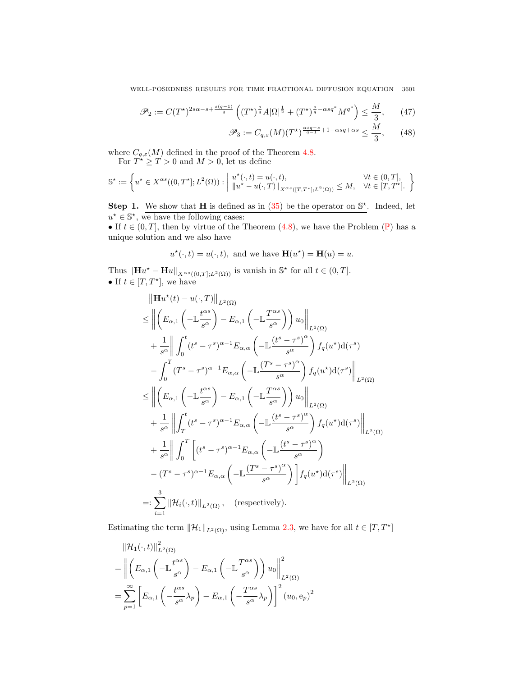WELL-POSEDNESS RESULTS FOR TIME FRACTIONAL DIFFUSION EQUATION 3601

<span id="page-20-1"></span><span id="page-20-0"></span>
$$
\mathscr{P}_2 := C(T^{\star})^{2s\alpha - s + \frac{s(q-1)}{q}} \left( (T^{\star})^{\frac{s}{q}} A |\Omega|^{\frac{1}{2}} + (T^{\star})^{\frac{s}{q} - \alpha s q^*} M^{q^*} \right) \le \frac{M}{3}, \qquad (47)
$$

$$
\mathscr{P}_3 := C_{q,\varepsilon}(M) (T^{\star})^{\frac{\alpha s q - s}{q - 1} + 1 - \alpha s q + \alpha s} \le \frac{M}{3}, \qquad (48)
$$

where  $C_{q,\varepsilon}(M)$  defined in the proof of the Theorem [4.8.](#page-16-3)

For  $T^* \geq T > 0$  and  $M > 0$ , let us define

$$
\mathbb{S}^{\star} := \left\{ u^{\star} \in X^{\alpha s}((0,T^{\star}];L^2(\Omega)) : \left| \begin{array}{l} u^{\star}(\cdot,t) = u(\cdot,t), & \forall t \in (0,T], \\ \|u^{\star} - u(\cdot,T)\|_{X^{\alpha s}([T,T^{\star}];L^2(\Omega))} \leq M, & \forall t \in [T,T^{\star}]. \end{array} \right\}
$$

Step 1. We show that H is defined as in  $(35)$  be the operator on  $\mathbb{S}^*$ . Indeed, let  $u^* \in \mathbb{S}^*$ , we have the following cases:

• If  $t \in (0, T]$ , then by virtue of the Theorem  $(4.8)$ , we have the [P](#page-0-0)roblem  $(\mathbb{P})$  has a unique solution and we also have

$$
u^*(\cdot,t) = u(\cdot,t)
$$
, and we have  $\mathbf{H}(u^*) = \mathbf{H}(u) = u$ .

Thus  $\|\mathbf{H}u^* - \mathbf{H}u\|_{X^{\alpha s}((0,T];L^2(\Omega))}$  is vanish in  $\mathbb{S}^*$  for all  $t \in (0,T]$ . • If  $t \in [T, T^{\star}],$  we have

$$
\|\mathbf{H}u^{*}(t) - u(\cdot, T)\|_{L^{2}(\Omega)}
$$
\n
$$
\leq \left\|\left(E_{\alpha,1}\left(-\mathbb{L}\frac{t^{\alpha s}}{s^{\alpha}}\right) - E_{\alpha,1}\left(-\mathbb{L}\frac{T^{\alpha s}}{s^{\alpha}}\right)\right)u_{0}\right\|_{L^{2}(\Omega)}
$$
\n
$$
+ \frac{1}{s^{\alpha}}\left\|\int_{0}^{t}(t^{s}-\tau^{s})^{\alpha-1}E_{\alpha,\alpha}\left(-\mathbb{L}\frac{(t^{s}-\tau^{s})^{\alpha}}{s^{\alpha}}\right)f_{q}(u^{*})\mathrm{d}(\tau^{s})
$$
\n
$$
- \int_{0}^{T}(T^{s}-\tau^{s})^{\alpha-1}E_{\alpha,\alpha}\left(-\mathbb{L}\frac{(T^{s}-\tau^{s})^{\alpha}}{s^{\alpha}}\right)f_{q}(u^{*})\mathrm{d}(\tau^{s})\right\|_{L^{2}(\Omega)}
$$
\n
$$
\leq \left\|\left(E_{\alpha,1}\left(-\mathbb{L}\frac{t^{\alpha s}}{s^{\alpha}}\right)-E_{\alpha,1}\left(-\mathbb{L}\frac{T^{\alpha s}}{s^{\alpha}}\right)\right)u_{0}\right\|_{L^{2}(\Omega)}
$$
\n
$$
+ \frac{1}{s^{\alpha}}\left\|\int_{T}^{t}(t^{s}-\tau^{s})^{\alpha-1}E_{\alpha,\alpha}\left(-\mathbb{L}\frac{(t^{s}-\tau^{s})^{\alpha}}{s^{\alpha}}\right)f_{q}(u^{*})\mathrm{d}(\tau^{s})\right\|_{L^{2}(\Omega)}
$$
\n
$$
+ \frac{1}{s^{\alpha}}\right\|\int_{0}^{T}\left[(t^{s}-\tau^{s})^{\alpha-1}E_{\alpha,\alpha}\left(-\mathbb{L}\frac{(t^{s}-\tau^{s})^{\alpha}}{s^{\alpha}}\right) - (T^{s}-\tau^{s})^{\alpha-1}E_{\alpha,\alpha}\left(-\mathbb{L}\frac{(T^{s}-\tau^{s})^{\alpha}}{s^{\alpha}}\right)\right]f_{q}(u^{*})\mathrm{d}(\tau^{s})\right\|_{L^{2}(\Omega)}
$$
\n
$$
=:\sum_{i=1}^{3}\|\mathcal{H}_{i}(\cdot,t)\|_{L^{2}(\Omega)}, \quad \text
$$

Estimating the term  $\|\mathcal{H}_1\|_{L^2(\Omega)}$ , using Lemma [2.3,](#page-4-4) we have for all  $t \in [T, T^*]$ 

$$
\|\mathcal{H}_1(\cdot,t)\|_{L^2(\Omega)}^2
$$
\n
$$
= \left\|\left(E_{\alpha,1}\left(-\mathbb{L}\frac{t^{\alpha s}}{s^{\alpha}}\right) - E_{\alpha,1}\left(-\mathbb{L}\frac{T^{\alpha s}}{s^{\alpha}}\right)\right)u_0\right\|_{L^2(\Omega)}^2
$$
\n
$$
= \sum_{p=1}^{\infty} \left[E_{\alpha,1}\left(-\frac{t^{\alpha s}}{s^{\alpha}}\lambda_p\right) - E_{\alpha,1}\left(-\frac{T^{\alpha s}}{s^{\alpha}}\lambda_p\right)\right]^2 (u_0, e_p)^2
$$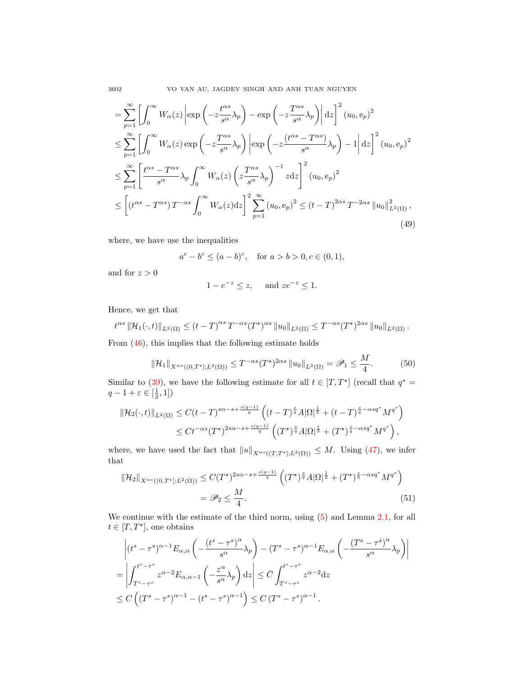3602 VO VAN AU, JAGDEV SINGH AND ANH TUAN NGUYEN

$$
= \sum_{p=1}^{\infty} \left[ \int_{0}^{\infty} W_{\alpha}(z) \left| \exp\left(-z \frac{t^{\alpha s}}{s^{\alpha}} \lambda_{p}\right) - \exp\left(-z \frac{T^{\alpha s}}{s^{\alpha}} \lambda_{p}\right) \right| dz \right]^{2} (u_{0}, e_{p})^{2}
$$
  
\n
$$
\leq \sum_{p=1}^{\infty} \left[ \int_{0}^{\infty} W_{\alpha}(z) \exp\left(-z \frac{T^{\alpha s}}{s^{\alpha}} \lambda_{p}\right) \left| \exp\left(-z \frac{(t^{\alpha s} - T^{\alpha s})}{s^{\alpha}} \lambda_{p}\right) - 1 \right| dz \right]^{2} (u_{0}, e_{p})^{2}
$$
  
\n
$$
\leq \sum_{p=1}^{\infty} \left[ \frac{t^{\alpha s} - T^{\alpha s}}{s^{\alpha}} \lambda_{p} \int_{0}^{\infty} W_{\alpha}(z) \left(z \frac{T^{\alpha s}}{s^{\alpha}} \lambda_{p}\right)^{-1} z dz \right]^{2} (u_{0}, e_{p})^{2}
$$
  
\n
$$
\leq \left[ (t^{\alpha s} - T^{\alpha s}) T^{-\alpha s} \int_{0}^{\infty} W_{\alpha}(z) dz \right]^{2} \sum_{p=1}^{\infty} (u_{0}, e_{p})^{2} \leq (t - T)^{2\alpha s} T^{-2\alpha s} ||u_{0}||_{L^{2}(\Omega)}^{2},
$$
  
\n(49)

where, we have use the inequalities

$$
a^{c} - b^{c} \le (a - b)^{c}
$$
, for  $a > b > 0, c \in (0, 1)$ ,

and for  $z > 0$ 

<span id="page-21-2"></span><span id="page-21-0"></span>
$$
1 - e^{-z} \le z, \quad \text{and } ze^{-z} \le 1.
$$

Hence, we get that

$$
t^{\alpha s} \|\mathcal{H}_1(\cdot,t)\|_{L^2(\Omega)} \le (t-T)^{\alpha s} T^{-\alpha s} (T^{\star})^{\alpha s} \|u_0\|_{L^2(\Omega)} \le T^{-\alpha s} (T^{\star})^{2\alpha s} \|u_0\|_{L^2(\Omega)}.
$$

From [\(46\)](#page-19-1), this implies that the following estimate holds

$$
\|\mathcal{H}_1\|_{X^{\alpha s}((0,T^*];L^2(\Omega))} \le T^{-\alpha s}(T^*)^{2\alpha s} \|u_0\|_{L^2(\Omega)} = \mathscr{P}_1 \le \frac{M}{4}.
$$
 (50)

Similar to [\(39\)](#page-17-3), we have the following estimate for all  $t \in [T, T^*]$  (recall that  $q^* =$  $q-1+\varepsilon\in\left[\frac{1}{2},1\right]$ 

$$
\|\mathcal{H}_2(\cdot,t)\|_{L^2(\Omega)} \le C(t-T)^{s\alpha-s+\frac{s(q-1)}{q}} \left( (t-T)^{\frac{s}{q}}A|\Omega|^{\frac{1}{2}} + (t-T)^{\frac{s}{q}-\alpha s q^*}M^{q^*}\right) \le Ct^{-\alpha s} (T^*)^{2s\alpha-s+\frac{s(q-1)}{q}} \left( (T^*)^{\frac{s}{q}}A|\Omega|^{\frac{1}{2}} + (T^*)^{\frac{s}{q}-\alpha s q^*}M^{q^*}\right),
$$

where, we have used the fact that  $||u||_{X^{\alpha s}((T, T^*]; L^2(\Omega))} \leq M$ . Using [\(47\)](#page-20-0), we infer that

<span id="page-21-1"></span>
$$
\|\mathcal{H}_2\|_{X^{\alpha s}((0,T^*];L^2(\Omega))} \le C(T^*)^{2s\alpha - s + \frac{s(q-1)}{q}} \left( (T^*)^{\frac{s}{q}} A |\Omega|^{\frac{1}{2}} + (T^*)^{\frac{s}{q} - \alpha s q^*} M^{q^*} \right)
$$
  
=  $\mathscr{P}_2 \le \frac{M}{4}.$  (51)

We continue with the estimate of the third norm, using  $(5)$  and Lemma [2.1,](#page-3-0) for all  $t \in [T, T^{\star}],$  one obtains

$$
\left| (t^s - \tau^s)^{\alpha - 1} E_{\alpha,\alpha} \left( -\frac{(t^s - \tau^s)^{\alpha}}{s^{\alpha}} \lambda_p \right) - (T^s - \tau^s)^{\alpha - 1} E_{\alpha,\alpha} \left( -\frac{(T^s - \tau^s)^{\alpha}}{s^{\alpha}} \lambda_p \right) \right|
$$
  
= 
$$
\left| \int_{T^s - \tau^s}^{t^s - \tau^s} z^{\alpha - 2} E_{\alpha,\alpha - 1} \left( -\frac{z^{\alpha}}{s^{\alpha}} \lambda_p \right) dz \right| \leq \bar{C} \int_{T^s - \tau^s}^{t^s - \tau^s} z^{\alpha - 2} dz
$$
  

$$
\leq C \left( (T^s - \tau^s)^{\alpha - 1} - (t^s - \tau^s)^{\alpha - 1} \right) \leq C (T^s - \tau^s)^{\alpha - 1}.
$$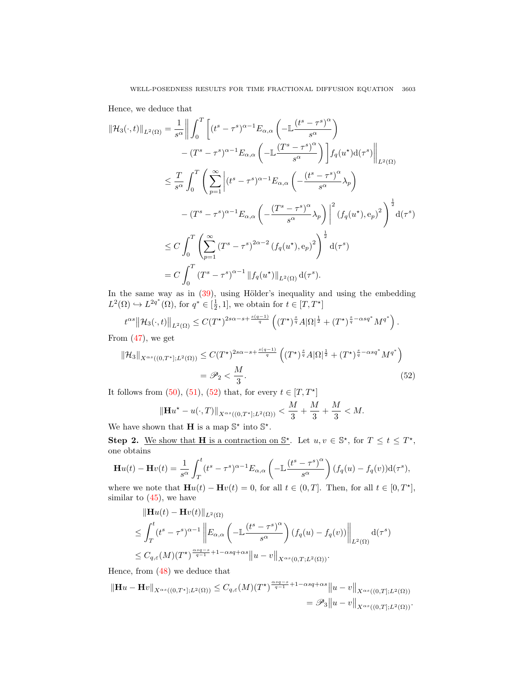Hence, we deduce that

$$
\|\mathcal{H}_{3}(\cdot,t)\|_{L^{2}(\Omega)} = \frac{1}{s^{\alpha}} \left\| \int_{0}^{T} \left[ (t^{s} - \tau^{s})^{\alpha-1} E_{\alpha,\alpha} \left( -\mathbb{L} \frac{(t^{s} - \tau^{s})^{\alpha}}{s^{\alpha}} \right) \right. \right.\left. - (T^{s} - \tau^{s})^{\alpha-1} E_{\alpha,\alpha} \left( -\mathbb{L} \frac{(T^{s} - \tau^{s})^{\alpha}}{s^{\alpha}} \right) \right] f_{q}(u^{*}) \mathrm{d}(\tau^{s}) \right\|_{L^{2}(\Omega)}\n\leq \frac{T}{s^{\alpha}} \int_{0}^{T} \left( \sum_{p=1}^{\infty} \left| (t^{s} - \tau^{s})^{\alpha-1} E_{\alpha,\alpha} \left( -\frac{(t^{s} - \tau^{s})^{\alpha}}{s^{\alpha}} \lambda_{p} \right) \right. \right.\left. - (T^{s} - \tau^{s})^{\alpha-1} E_{\alpha,\alpha} \left( -\frac{(T^{s} - \tau^{s})^{\alpha}}{s^{\alpha}} \lambda_{p} \right) \right|^{2} (f_{q}(u^{*}), \mathbf{e}_{p})^{2} \right)^{\frac{1}{2}} \mathrm{d}(\tau^{s})\n\leq C \int_{0}^{T} \left( \sum_{p=1}^{\infty} (T^{s} - \tau^{s})^{2\alpha-2} (f_{q}(u^{*}), \mathbf{e}_{p})^{2} \right)^{\frac{1}{2}} \mathrm{d}(\tau^{s})\n= C \int_{0}^{T} (T^{s} - \tau^{s})^{\alpha-1} ||f_{q}(u^{*})||_{L^{2}(\Omega)} d(\tau^{s}).
$$

In the same way as in  $(39)$ , using Hölder's inequality and using the embedding  $L^2(\Omega) \hookrightarrow L^{2q^*}(\Omega)$ , for  $q^* \in [\frac{1}{2}, 1]$ , we obtain for  $t \in [T, T^*]$ 

$$
t^{\alpha s} \|\mathcal{H}_3(\cdot,t)\|_{L^2(\Omega)} \leq C (T^\star)^{2s\alpha-s+\frac{s(q-1)}{q}} \left( (T^\star)^{\frac{s}{q}} A |\Omega|^{\frac{1}{2}} + (T^\star)^{\frac{s}{q}-\alpha s q^*} M^{q^*} \right).
$$

From  $(47)$ , we get

$$
\|\mathcal{H}_3\|_{X^{\alpha s}((0,T^*];L^2(\Omega))} \le C(T^*)^{2s\alpha-s+\frac{s(q-1)}{q}} \left( (T^*)^{\frac{s}{q}} A |\Omega|^{\frac{1}{2}} + (T^*)^{\frac{s}{q}-\alpha s q^*} M^{q^*} \right)
$$
  
=  $\mathscr{P}_2 < \frac{M}{3}.$  (52)

It follows from  $(50)$ ,  $(51)$ ,  $(52)$  that, for every  $t \in [T, T^*]$ 

<span id="page-22-0"></span>
$$
\|\mathbf{H}u^* - u(\cdot,T)\|_{X^{\alpha s}((0,T^*];L^2(\Omega))} < \frac{M}{3} + \frac{M}{3} + \frac{M}{3} < M.
$$

We have shown that **H** is a map  $\mathbb{S}^*$  into  $\mathbb{S}^*$ .

Step 2. We show that H is a contraction on  $\mathbb{S}^*$ . Let  $u, v \in \mathbb{S}^*$ , for  $T \le t \le T^*$ , one obtains

$$
\mathbf{H}u(t) - \mathbf{H}v(t) = \frac{1}{s^{\alpha}} \int_{T}^{t} (t^{s} - \tau^{s})^{\alpha - 1} E_{\alpha,\alpha} \left( -\mathbb{L} \frac{(t^{s} - \tau^{s})^{\alpha}}{s^{\alpha}} \right) (f_{q}(u) - f_{q}(v)) \mathrm{d}(\tau^{s}),
$$

where we note that  $\mathbf{H}u(t) - \mathbf{H}v(t) = 0$ , for all  $t \in (0,T]$ . Then, for all  $t \in [0,T^*]$ , similar to  $(45)$ , we have

$$
\|\mathbf{H}u(t) - \mathbf{H}v(t)\|_{L^{2}(\Omega)}
$$
\n
$$
\leq \int_{T}^{t} (t^{s} - \tau^{s})^{\alpha - 1} \left\| E_{\alpha,\alpha} \left( -\mathbb{L} \frac{(t^{s} - \tau^{s})^{\alpha}}{s^{\alpha}} \right) (f_{q}(u) - f_{q}(v)) \right\|_{L^{2}(\Omega)} d(\tau^{s})
$$
\n
$$
\leq C_{q,\varepsilon}(M)(T^{\star})^{\frac{\alpha s q - s}{q - 1} + 1 - \alpha s q + \alpha s} \|u - v\|_{X^{\alpha s}(0,T;L^{2}(\Omega))}.
$$

Hence, from [\(48\)](#page-20-1) we deduce that

$$
\|\mathbf{H}u - \mathbf{H}v\|_{X^{\alpha s}((0,T^*];L^2(\Omega))} \leq C_{q,\varepsilon}(M)(T^*)^{\frac{\alpha sq-s}{q-1}+1-\alpha sq+\alpha s} \|u - v\|_{X^{\alpha s}((0,T];L^2(\Omega))}
$$
  
=  $\mathcal{P}_3 \|u - v\|_{X^{\alpha s}((0,T];L^2(\Omega))}.$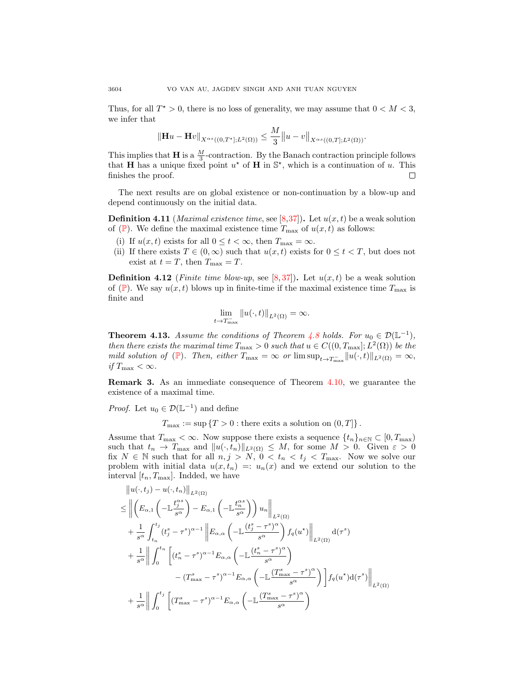Thus, for all  $T^* > 0$ , there is no loss of generality, we may assume that  $0 < M < 3$ , we infer that

$$
\|\mathbf{H} u - \mathbf{H} v\|_{X^{\alpha s}((0,T^*];L^2(\Omega))} \le \frac{M}{3} \|u - v\|_{X^{\alpha s}((0,T];L^2(\Omega))}.
$$

This implies that **H** is a  $\frac{M}{3}$ -contraction. By the Banach contraction principle follows that **H** has a unique fixed point  $u^*$  of **H** in  $\mathbb{S}^*$ , which is a continuation of u. This finishes the proof. □

The next results are on global existence or non-continuation by a blow-up and depend continuously on the initial data.

**Definition 4.11** (*Maximal existence time*, see [\[8,](#page-25-22)[37\]](#page-26-18)). Let  $u(x, t)$  be a weak solution of ([P](#page-0-0)). We define the maximal existence time  $T_{\text{max}}$  of  $u(x, t)$  as follows:

- (i) If  $u(x, t)$  exists for all  $0 \le t < \infty$ , then  $T_{\text{max}} = \infty$ .
- (ii) If there exists  $T \in (0,\infty)$  such that  $u(x,t)$  exists for  $0 \le t < T$ , but does not exist at  $t = T$ , then  $T_{\text{max}} = T$ .

**Definition 4.12** (Finite time blow-up, see [\[8,](#page-25-22)[37\]](#page-26-18)). Let  $u(x,t)$  be a weak solution of ([P](#page-0-0)). We say  $u(x, t)$  blows up in finite-time if the maximal existence time  $T_{\text{max}}$  is finite and

$$
\lim_{t \to T_{\text{max}}^-} ||u(\cdot, t)||_{L^2(\Omega)} = \infty.
$$

**Theorem 4.13.** Assume the conditions of Theorem [4.8](#page-16-3) holds. For  $u_0 \in \mathcal{D}(\mathbb{L}^{-1})$ , then there exists the maximal time  $T_{\text{max}} > 0$  such that  $u \in C((0, T_{\text{max}}]; L^2(\Omega))$  be the mild solution of  $(\mathbb{P})$  $(\mathbb{P})$  $(\mathbb{P})$ . Then, either  $T_{\max} = \infty$  or  $\limsup_{t \to T_{\max}} ||u(\cdot, t)||_{L^2(\Omega)} = \infty$ , if  $T_{\text{max}} < \infty$ .

Remark 3. As an immediate consequence of Theorem [4.10,](#page-19-3) we guarantee the existence of a maximal time.

*Proof.* Let  $u_0 \in \mathcal{D}(\mathbb{L}^{-1})$  and define

 $T_{\text{max}} := \sup \{T > 0 : \text{there exists a solution on } (0, T] \}.$ 

Assume that  $T_{\text{max}} < \infty$ . Now suppose there exists a sequence  $\{t_n\}_{n\in\mathbb{N}} \subset [0, T_{\text{max}})$ such that  $t_n \to T_{\max}$  and  $||u(\cdot, t_n)||_{L^2(\Omega)} \leq M$ , for some  $M > 0$ . Given  $\varepsilon > 0$ fix  $N \in \mathbb{N}$  such that for all  $n, j > N$ ,  $0 < t_n < t_j < T_{\text{max}}$ . Now we solve our problem with initial data  $u(x, t_n) =: u_n(x)$  and we extend our solution to the interval  $[t_n, T_{\text{max}}]$ . Indded, we have

$$
\|u(\cdot,t_{j})-u(\cdot,t_{n})\|_{L^{2}(\Omega)}
$$
\n
$$
\leq \left\|\left(E_{\alpha,1}\left(-\mathbb{L}\frac{t_{j}^{\alpha s}}{s^{\alpha}}\right)-E_{\alpha,1}\left(-\mathbb{L}\frac{t_{n}^{\alpha s}}{s^{\alpha}}\right)\right)u_{n}\right\|_{L^{2}(\Omega)}
$$
\n
$$
+\frac{1}{s^{\alpha}}\int_{t_{n}}^{t_{j}}(t_{j}^{s}-\tau^{s})^{\alpha-1}\left\|E_{\alpha,\alpha}\left(-\mathbb{L}\frac{(t_{j}^{s}-\tau^{s})^{\alpha}}{s^{\alpha}}\right)f_{q}(u^{*})\right\|_{L^{2}(\Omega)}d(\tau^{s})
$$
\n
$$
+\frac{1}{s^{\alpha}}\left\|\int_{0}^{t_{n}}\left[(t_{n}^{s}-\tau^{s})^{\alpha-1}E_{\alpha,\alpha}\left(-\mathbb{L}\frac{(t_{n}^{s}-\tau^{s})^{\alpha}}{s^{\alpha}}\right)\right]f_{q}(u^{*})d(\tau^{s})\right\|_{L^{2}(\Omega)}
$$
\n
$$
-(T_{\max}^{s}-\tau^{s})^{\alpha-1}E_{\alpha,\alpha}\left(-\mathbb{L}\frac{(T_{\max}^{s}-\tau^{s})^{\alpha}}{s^{\alpha}}\right)\right]f_{q}(u^{*})d(\tau^{s})\right\|_{L^{2}(\Omega)}
$$
\n
$$
+\frac{1}{s^{\alpha}}\left\|\int_{0}^{t_{j}}\left[(T_{\max}^{s}-\tau^{s})^{\alpha-1}E_{\alpha,\alpha}\left(-\mathbb{L}\frac{(T_{\max}^{s}-\tau^{s})^{\alpha}}{s^{\alpha}}\right)\right]f_{q}(u^{*})d(\tau^{s})\right\|_{L^{2}(\Omega)}
$$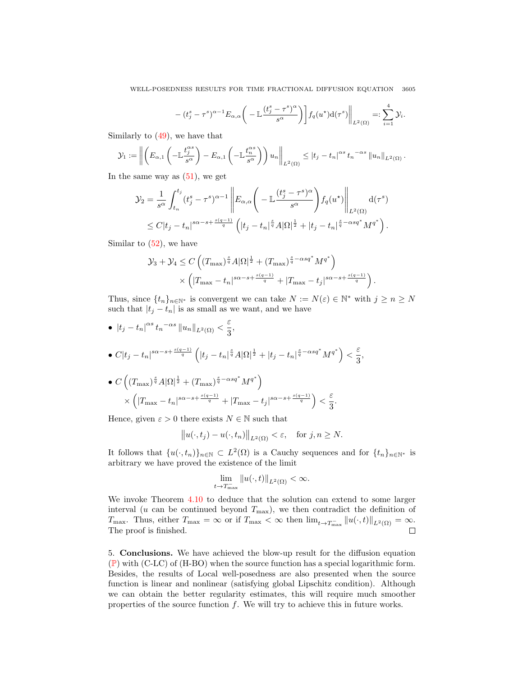WELL-POSEDNESS RESULTS FOR TIME FRACTIONAL DIFFUSION EQUATION 3605

$$
-(t_j^s-\tau^s)^{\alpha-1}E_{\alpha,\alpha}\bigg(-\mathbb{L}\frac{(t_j^s-\tau^s)^{\alpha}}{s^{\alpha}}\bigg)\bigg]f_q(u^{\star})d(\tau^s)\bigg\|_{L^2(\Omega)}=:\sum_{i=1}^4\mathcal{Y}_i.
$$

Similarly to [\(49\)](#page-21-2), we have that

$$
\mathcal{Y}_1 := \left\| \left( E_{\alpha,1} \left( - \mathbb{L} \frac{t_j^{\alpha s}}{s^{\alpha}} \right) - E_{\alpha,1} \left( - \mathbb{L} \frac{t_n^{\alpha s}}{s^{\alpha}} \right) \right) u_n \right\|_{L^2(\Omega)} \leq |t_j - t_n|^{\alpha s} t_n^{-\alpha s} \| u_n \|_{L^2(\Omega)}.
$$

In the same way as  $(51)$ , we get

$$
\mathcal{Y}_2 = \frac{1}{s^{\alpha}} \int_{t_n}^{t_j} (t_j^s - \tau^s)^{\alpha - 1} \left\| E_{\alpha, \alpha} \left( - \mathbb{L} \frac{(t_j^s - \tau^s)^{\alpha}}{s^{\alpha}} \right) f_q(u^{\star}) \right\|_{L^2(\Omega)} d(\tau^s)
$$
  

$$
\leq C|t_j - t_n|^{s\alpha - s + \frac{s(q-1)}{q}} \left( |t_j - t_n|^{\frac{s}{q}} A |\Omega|^{\frac{1}{2}} + |t_j - t_n|^{\frac{s}{q} - \alpha s q^*} M^{q^*} \right).
$$

Similar to  $(52)$ , we have

$$
\mathcal{Y}_3 + \mathcal{Y}_4 \le C \left( (T_{\text{max}})^{\frac{s}{q}} A |\Omega|^{\frac{1}{2}} + (T_{\text{max}})^{\frac{s}{q} - \alpha s q^*} M^{q^*} \right) \times \left( |T_{\text{max}} - t_n|^{s\alpha - s + \frac{s(q-1)}{q}} + |T_{\text{max}} - t_j|^{s\alpha - s + \frac{s(q-1)}{q}} \right)
$$

.

Thus, since  $\{t_n\}_{n\in\mathbb{N}^*}$  is convergent we can take  $N := N(\varepsilon) \in \mathbb{N}^*$  with  $j \geq n \geq N$ such that  $|t_j - t_n|$  is as small as we want, and we have

• 
$$
|t_j - t_n|^{\alpha s} t_n^{-\alpha s} ||u_n||_{L^2(\Omega)} < \frac{\varepsilon}{3},
$$
  
\n•  $C|t_j - t_n|^{s\alpha - s + \frac{s(q-1)}{q}} \left( |t_j - t_n|^{\frac{s}{q}} A |\Omega|^{\frac{1}{2}} + |t_j - t_n|^{\frac{s}{q} - \alpha s q^*} M^{q^*} \right) < \frac{\varepsilon}{3},$   
\n•  $C \left( (T_{\text{max}})^{\frac{s}{q}} A |\Omega|^{\frac{1}{2}} + (T_{\text{max}})^{\frac{s}{q} - \alpha s q^*} M^{q^*} \right)$   
\n $\times \left( |T_{\text{max}} - t_n|^{s\alpha - s + \frac{s(q-1)}{q}} + |T_{\text{max}} - t_j|^{s\alpha - s + \frac{s(q-1)}{q}} \right) < \frac{\varepsilon}{3}.$ 

Hence, given  $\varepsilon > 0$  there exists  $N \in \mathbb{N}$  such that

$$
||u(\cdot,t_j)-u(\cdot,t_n)||_{L^2(\Omega)} < \varepsilon, \text{ for } j,n \geq N.
$$

It follows that  $\{u(\cdot, t_n)\}_{n\in\mathbb{N}} \subset L^2(\Omega)$  is a Cauchy sequences and for  $\{t_n\}_{n\in\mathbb{N}^*}$  is arbitrary we have proved the existence of the limit

$$
\lim_{t \to T_{\text{max}}^-} ||u(\cdot, t)||_{L^2(\Omega)} < \infty.
$$

We invoke Theorem [4.10](#page-19-3) to deduce that the solution can extend to some larger interval (u can be continued beyond  $T_{\text{max}}$ ), we then contradict the definition of  $T_{\text{max}}$ . Thus, either  $T_{\text{max}} = \infty$  or if  $T_{\text{max}} < \infty$  then  $\lim_{t \to T_{\text{max}}^-} ||u(\cdot, t)||_{L^2(\Omega)} = \infty$ . The proof is finished.  $\Box$ 

<span id="page-24-0"></span>5. Conclusions. We have achieved the blow-up result for the diffusion equation ([P](#page-0-0)) with (C-LC) of (H-BO) when the source function has a special logarithmic form. Besides, the results of Local well-posedness are also presented when the source function is linear and nonlinear (satisfying global Lipschitz condition). Although we can obtain the better regularity estimates, this will require much smoother properties of the source function f. We will try to achieve this in future works.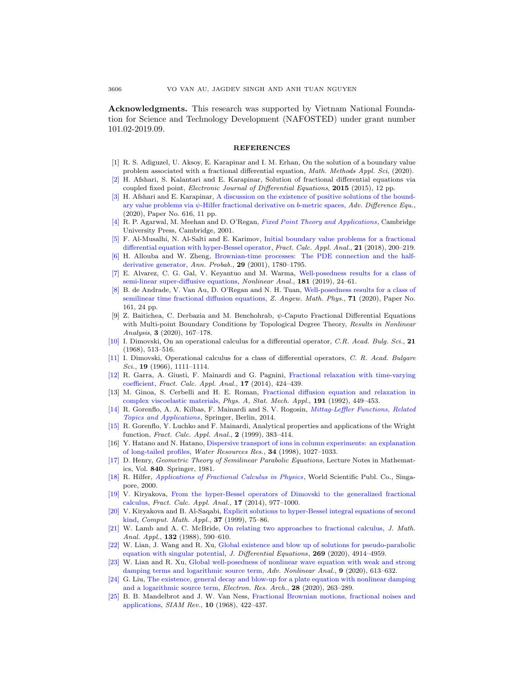Acknowledgments. This research was supported by Vietnam National Foundation for Science and Technology Development (NAFOSTED) under grant number 101.02-2019.09.

#### REFERENCES

- <span id="page-25-0"></span>[1] R. S. Adiguzel, U. Aksoy, E. Karapinar and I. M. Erhan, On the solution of a boundary value problem associated with a fractional differential equation, *Math. Methods Appl. Sci*, (2020).
- [\[2\]](http://www.ams.org/mathscinet-getitem?mr=MR3425717&return=pdf) H. Afshari, S. Kalantari and E. Karapinar, Solution of fractional differential equations via coupled fixed point, Electronic Journal of Differential Equations, 2015 (2015), 12 pp.
- <span id="page-25-1"></span>[\[3\]](http://www.ams.org/mathscinet-getitem?mr=MR4169365&return=pdf) H. Afshari and E. Karapinar, [A discussion on the existence of positive solutions of the bound](http://dx.doi.org/10.1186/s13662-020-03076-z)ary value problems via  $\psi$ [-Hilfer fractional derivative on](http://dx.doi.org/10.1186/s13662-020-03076-z) b-metric spaces, Adv. Difference Equ., (2020), Paper No. 616, 11 pp.
- <span id="page-25-20"></span>[\[4\]](http://www.ams.org/mathscinet-getitem?mr=MR1825411&return=pdf) R. P. Agarwal, M. Meehan and D. O'Regan, [Fixed Point Theory and Applications](http://dx.doi.org/10.1017/CBO9780511543005), Cambridge University Press, Cambridge, 2001.
- <span id="page-25-14"></span>[\[5\]](http://www.ams.org/mathscinet-getitem?mr=MR3776062&return=pdf) F. Al-Musalhi, N. Al-Salti and E. Karimov, [Initial boundary value problems for a fractional](http://dx.doi.org/10.1515/fca-2018-0013) [differential equation with hyper-Bessel operator,](http://dx.doi.org/10.1515/fca-2018-0013) Fract. Calc. Appl. Anal., 21 (2018), 200–219.
- <span id="page-25-5"></span>[\[6\]](http://www.ams.org/mathscinet-getitem?mr=MR1880242&return=pdf) H. Allouba and W. Zheng, [Brownian-time processes: The PDE connection and the half](http://dx.doi.org/10.1214/aop/1015345772)[derivative generator,](http://dx.doi.org/10.1214/aop/1015345772) Ann. Probab., 29 (2001), 1780–1795.
- <span id="page-25-17"></span>[\[7\]](http://www.ams.org/mathscinet-getitem?mr=MR3882350&return=pdf) E. Alvarez, C. G. Gal, V. Keyantuo and M. Warma, [Well-posedness results for a class of](http://dx.doi.org/10.1016/j.na.2018.10.016) [semi-linear super-diffusive equations,](http://dx.doi.org/10.1016/j.na.2018.10.016) Nonlinear Anal., 181 (2019), 24–61.
- <span id="page-25-22"></span>[\[8\]](http://www.ams.org/mathscinet-getitem?mr=MR4150937&return=pdf) B. de Andrade, V. Van Au, D. O'Regan and N. H. Tuan, [Well-posedness results for a class of](http://dx.doi.org/10.1007/s00033-020-01348-y) [semilinear time fractional diffusion equations,](http://dx.doi.org/10.1007/s00033-020-01348-y) Z. Angew. Math. Phys., 71 (2020), Paper No. 161, 24 pp.
- <span id="page-25-2"></span>[9] Z. Baitichea, C. Derbazia and M. Benchohrab, ψ-Caputo Fractional Differential Equations with Multi-point Boundary Conditions by Topological Degree Theory, Results in Nonlinear Analysis, 3 (2020), 167–178.
- <span id="page-25-10"></span>[\[10\]](http://www.ams.org/mathscinet-getitem?mr=MR241914&return=pdf) I. Dimovski, On an operational calculus for a differential operator, C.R. Acad. Bulg. Sci., 21  $(1968), 513 - 516.$
- <span id="page-25-9"></span>[\[11\]](http://www.ams.org/mathscinet-getitem?mr=MR205001&return=pdf) I. Dimovski, Operational calculus for a class of differential operators, C. R. Acad. Bulgare Sci., 19 (1966), 1111–1114.
- <span id="page-25-13"></span>[\[12\]](http://www.ams.org/mathscinet-getitem?mr=MR3181064&return=pdf) R. Garra, A. Giusti, F. Mainardi and G. Pagnini, [Fractional relaxation with time-varying](http://dx.doi.org/10.2478/s13540-014-0178-0) [coefficient,](http://dx.doi.org/10.2478/s13540-014-0178-0) Fract. Calc. Appl. Anal., 17 (2014), 424–439.
- <span id="page-25-7"></span>[13] M. Ginoa, S. Cerbelli and H. E. Roman, [Fractional diffusion equation and relaxation in](http://dx.doi.org/10.1016/0378-4371(92)90566-9) [complex viscoelastic materials,](http://dx.doi.org/10.1016/0378-4371(92)90566-9) Phys. A, Stat. Mech. Appl., 191 (1992), 449–453.
- <span id="page-25-18"></span>[\[14\]](http://www.ams.org/mathscinet-getitem?mr=MR3244285&return=pdf) R. Gorenflo, A. A. Kilbas, F. Mainardi and S. V. Rogosin, [Mittag-Leffler Functions, Related](http://dx.doi.org/10.1007/978-3-662-43930-2) [Topics and Applications](http://dx.doi.org/10.1007/978-3-662-43930-2), Springer, Berlin, 2014.
- <span id="page-25-19"></span>[\[15\]](http://www.ams.org/mathscinet-getitem?mr=MR1752379&return=pdf) R. Gorenflo, Y. Luchko and F. Mainardi, Analytical properties and applications of the Wright function, Fract. Calc. Appl. Anal., 2 (1999), 383–414.
- <span id="page-25-8"></span>[16] Y. Hatano and N. Hatano, [Dispersive transport of ions in column experiments: an explanation](http://dx.doi.org/10.1029/98WR00214) [of long-tailed profiles,](http://dx.doi.org/10.1029/98WR00214) Water Resources Res., 34 (1998), 1027–1033.
- <span id="page-25-21"></span>[\[17\]](http://www.ams.org/mathscinet-getitem?mr=MR610244&return=pdf) D. Henry, Geometric Theory of Semilinear Parabolic Equations, Lecture Notes in Mathematics, Vol. 840. Springer, 1981.
- <span id="page-25-4"></span>[\[18\]](http://www.ams.org/mathscinet-getitem?mr=MR1890104&return=pdf) R. Hilfer, [Applications of Fractional Calculus in Physics](http://dx.doi.org/10.1142/9789812817747), World Scientific Publ. Co., Singapore, 2000.
- <span id="page-25-11"></span>[\[19\]](http://www.ams.org/mathscinet-getitem?mr=MR3254676&return=pdf) V. Kiryakova, [From the hyper-Bessel operators of Dimovski to the generalized fractional](http://dx.doi.org/10.2478/s13540-014-0210-4) [calculus,](http://dx.doi.org/10.2478/s13540-014-0210-4) Fract. Calc. Appl. Anal., 17 (2014), 977–1000.
- <span id="page-25-12"></span>[\[20\]](http://www.ams.org/mathscinet-getitem?mr=MR1664252&return=pdf) V. Kiryakova and B. Al-Saqabi, [Explicit solutions to hyper-Bessel integral equations of second](http://dx.doi.org/10.1016/S0898-1221(98)00243-0) [kind,](http://dx.doi.org/10.1016/S0898-1221(98)00243-0) Comput. Math. Appl., 37 (1999), 75–86.
- <span id="page-25-3"></span>[\[21\]](http://www.ams.org/mathscinet-getitem?mr=MR943531&return=pdf) W. Lamb and A. C. McBride, [On relating two approaches to fractional calculus,](http://dx.doi.org/10.1016/0022-247X(88)90086-8) J. Math. Anal. Appl., **132** (1988), 590-610.
- <span id="page-25-15"></span>[\[22\]](http://www.ams.org/mathscinet-getitem?mr=MR4104462&return=pdf) W. Lian, J. Wang and R. Xu, [Global existence and blow up of solutions for pseudo-parabolic](http://dx.doi.org/10.1016/j.jde.2020.03.047) [equation with singular potential,](http://dx.doi.org/10.1016/j.jde.2020.03.047) J. Differential Equations, 269 (2020), 4914–4959.
- [\[23\]](http://www.ams.org/mathscinet-getitem?mr=MR3980417&return=pdf) W. Lian and R. Xu, [Global well-posedness of nonlinear wave equation with weak and strong](http://dx.doi.org/10.1515/anona-2020-0016) [damping terms and logarithmic source term,](http://dx.doi.org/10.1515/anona-2020-0016) Adv. Nonlinear Anal., 9 (2020), 613–632.
- <span id="page-25-16"></span>[\[24\]](http://www.ams.org/mathscinet-getitem?mr=MR4097704&return=pdf) G. Liu, [The existence, general decay and blow-up for a plate equation with nonlinear damping](http://dx.doi.org/10.3934/era.2020016) [and a logarithmic source term,](http://dx.doi.org/10.3934/era.2020016) Electron. Res. Arch., 28 (2020), 263–289.
- <span id="page-25-6"></span>[\[25\]](http://www.ams.org/mathscinet-getitem?mr=MR242239&return=pdf) B. B. Mandelbrot and J. W. Van Ness, [Fractional Brownian motions, fractional noises and](http://dx.doi.org/10.1137/1010093) [applications,](http://dx.doi.org/10.1137/1010093) SIAM Rev., 10 (1968), 422–437.